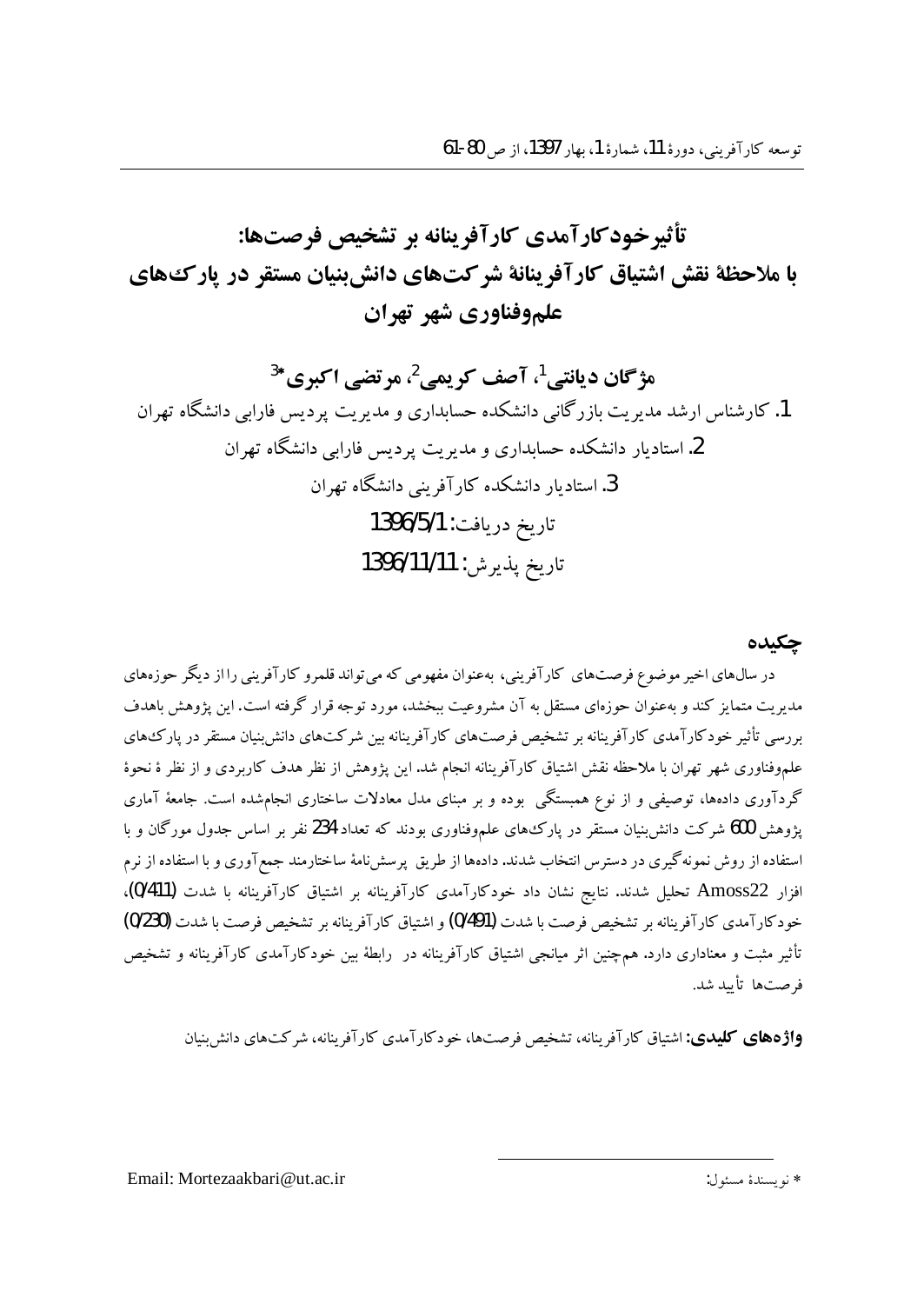تأثيرخودكارآمدي كارآفرينانه بر تشخيص فرصتها: با ملاحظة نقش اشتياق كارآفرينانة شركتهاي دانش بنيان مستقر در يارك هاي علموفناوري شهر تهران

هژگان د پانتي <sup>1</sup>، آصف کر پمي <sup>2</sup>، مرتضي اکبري\*<sup>3</sup> 1. کارشناس ارشد مدیر بت باز رگانی دانشکده حسابداری و مدیریت پردیس فارایی دانشگاه تهران 2. استادیار دانشکده حسابداری و مدیریت بردسی فارایی دانشگاه تهران 3. استادیار دانشکده کار آفرینی دانشگاه تهران تاريخ دريافت: 1396/5/1 تاريخ يذيرش: 1396/11/11

#### چکىدە

در سال۵های اخیر موضوع فرصتهای کارآفرینی، بهعنوان مفهومی که می تواند قلمرو کارآفرینی را از دیگر حوزههای مدیریت متمایز کند و بهعنوان حوزهای مستقل به آن مشروعیت ببخشد، مورد توجه قرار گرفته است. این یژوهش باهدف بررسی تأثیر خودکارآمدی کارآفرینانه بر تشخیص فرصتهای کارآفرینانه بین شرکتهای دانش بنیان مستقر در یارک های علموفناوری شهر تهران با ملاحظه نقش اشتیاق کارآفرینانه انجام شد. این یژوهش از نظر هدف کاربردی و از نظر ۀ نحوۀ گردآوری دادهها، توصیفی و از نوع همبستگی بوده و بر مبنای مدل معادلات ساختاری انجامشده است. جامعهٔ آماری پژوهش 600 شرکت دانش:پنیان مستقر در پارک های علموفناوری بودند که تعداد 234 نفر بر اساس جدول مورگان و با استفاده از روش نمونه گیری در دسترس انتخاب شدند. دادهها از طریق پرسشiمهٔ ساختارمند جمعآوری و با استفاده از نرم افزار Amoss22 تحلیل شدند. نتایج نشان داد خودکارآمدی کارآفرینانه بر اشتیاق کارآفرینانه با شدت (0/411)، خودكارآمدي كارآفرينانه بر تشخيص فرصت با شدت (0/491) و اشتياق كارآفرينانه بر تشخيص فرصت با شدت (0/230) تأثیر مثبت و معناداری دارد. هم چنین اثر میانجی اشتیاق کارآفرینانه در رابطهٔ بین خودکارآمدی کارآفرینانه و تشخیص فرصتها تأسد شد.

**واژدهای کلیدی:** اشتیاق کارآفرینانه، تشخیص فرصتها، خودکارآمدی کارآفرینانه، شرکتهای دانش بنیان

\* نويسندة مسئول:

Email: Mortezaakbari@ut.ac.ir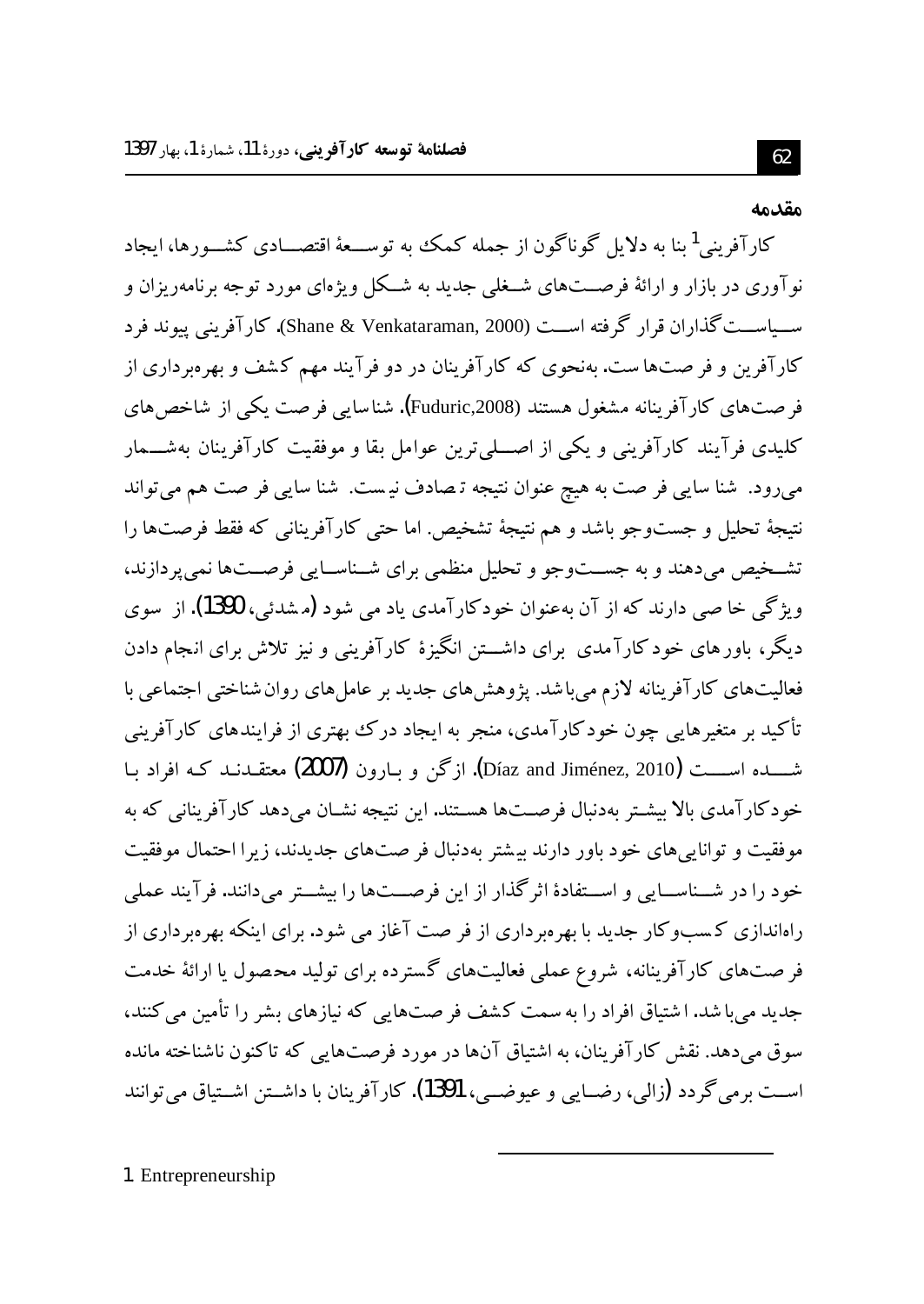#### مقدمه

کار آفرینی<sup>1</sup> بنا به دلایل گوناگون از جمله کمک به توســعهٔ اقتصـــادی کشــورها، ایجاد نو آوری در بازار و ارائهٔ فرصـــتهای شــغلی جدید به شــکل ویژهای مورد توجه برنامهریزان و ســياســت گذاران قرار گرفته اســت (Shane & Venkataraman, 2000). كارآفريني ييوند فرد کارآفرین و فر صتها ست. بهنحوی که کارآفرینان در دو فرآیند مهم کشف و بهرهبرداری از فر صتهای کارآفرینانه مشغول هستند (Fuduric,2008). شناسایی فرصت یکی از شاخص های کلیدی فرآیند کارآفرینی و یکی از اصله ترین عوامل بقا و موفقیت کارآفرینان بهشــمار میرود. شنا سایی فر صت به هیچ عنوان نتیجه ترصادف نیست. شنا سایی فر صت هم می تواند نتيجهٔ تحليل و جستوجو باشد و هم نتيجهٔ تشخيص. اما حتى كارآفريناني كه فقط فرصتها را تشخیص میدهند و به جســتوجو و تحلیل منظمی برای شــناســایی فرصــتها نمی پردازند، ويژگي خا صي دارند كه از آن بهعنوان خودكارآمدي ياد مي شود (مشدئي، 1390). از سوي دیگر، باورهای خودکارآمدی برای داشـــتن انگیزهٔ کارآفرینی و نیز تلاش برای انجام دادن فعالیتهای کارآفرینانه لازم میباشد. پژوهشهای جدید بر عاملهای روان شناختی اجتماعی با تأکید بر متغیرهایی چون خودکارآمدی، منجر به ایجاد درک بهتری از فرایندهای کارآفرینی شـــــــــــده اســــــت (Díaz and Jiménez, 2010). ازگن و بــارون (2007) معتقــدنــد كــه افراد بــا خودکارآمدی بالا بیشتر بهدنبال فرصتها هستند. این نتیجه نشــان می دهد کارآفرینانی که به موفقیت و توانایی های خود باور دارند بیشتر بهدنبال فر صتهای جدیدند، زیرا احتمال موفقیت خود را در شــناســایی و اســتفادهٔ اثرگذار از این فرصــتها را بیشــتر میدانند. فرآیند عملی راهاندازی کسبوکار جدید با بهرهبرداری از فر صت آغاز می شود. برای اینکه بهرهبرداری از فر صتهای کارآفرینانه، شروع عملی فعالیتهای گسترده برای تولید محصول یا ارائهٔ خدمت جدید می با شد. اشتیاق افراد را به سمت کشف فر صتهایی که نیازهای بشر را تأمین می کنند، سوق می دهد. نقش کارآفرینان، به اشتیاق آنها در مورد فرصتهایی که تاکنون ناشناخته مانده اســت برمي گردد (زالي، رضــايي و عيوضــي، 1391). كارآفرينان با داشــتن اشــتياق مي توانند

1. Entrepreneurship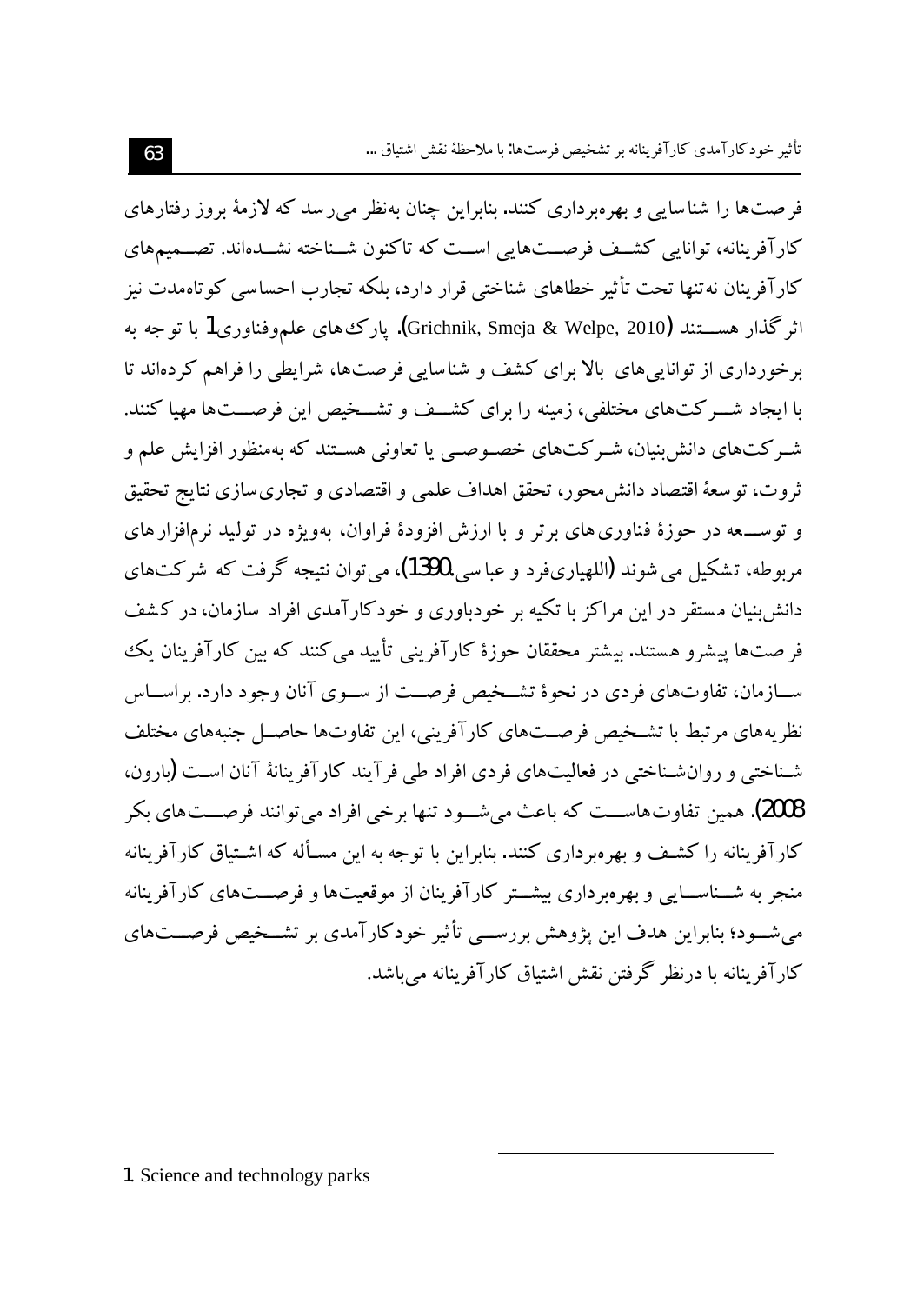فر صتها را شناسایی و بهرهبرداری کنند. بنابراین چنان بهنظر می رسد که لازمهٔ بروز رفتارهای کارآفرینانه، توانایی کشـف فرصـتهایی اسـت که تاکنون شـناخته نشـدهاند. تصــمیمهای کارآفرینان نه تنها تحت تأثیر خطاهای شناختی قرار دارد، بلکه تجارب احساسی کو تاهمدت نیز اثر گذار هســــتند (Grichnik, Smeja & Welpe, 2010**)**. يارک های علموفناوری1 با تو جه به برخورداری از توانایی های بالا برای کشف و شناسایی فرصتها، شرایطی را فراهم کردهاند تا با ایجاد شـــر کتهای مختلفی، زمینه را برای کشــف و تشــخیص این فرصـــتها مهیا کنند. شہ کتھای دانش بنیان، شہ کتھای خصوصی یا تعاونی ہستند که بهمنظور افزایش علم و ثروت، تو سعهٔ اقتصاد دانش محور، تحقق اهداف علمی و اقتصادی و تجاری سازی نتایج تحقیق و توســــعه در حوزهٔ فناوري هاي برتر و با ارزش افزودهٔ فراوان، بهویژه در تولید نرمافزار هاي مربوطه، تشکيل مي شوند (اللهپاريفرد و عباسي،1390)، مي توان نتيجه گرفت که شرکتهاي دانش بنیان مستقر در این مراکز با تکیه بر خودباوری و خودکارآمدی افراد سازمان، در کشف فر صتها پیشرو هستند. بیشتر محققان حوزهٔ کارآفرینی تأیید می کنند که بین کارآفرینان یک ســازمان، تفاوتهاي فردي در نحوهٔ تشــخبص فرصــت از ســوي آنان وجود دارد. براســاس نظریههای مرتبط با تشـخیص فرصــتهای کارآفرینی، این تفاوتها حاصــل جنبههای مختلف شـناختی و روانشـناختی در فعالیتهای فردی افراد طی فرآیند کارآفرینانهٔ آنان اسـت (بارون، 2008). همين تفاوت هاســـت كه باعث مي شــود تنها برخي افراد مي توانند فرصـــت هاي بكر کار آفرینانه را کشف و بهره رداری کنند. بنابراین با توجه به این مسـأله که اشـتباق کار آفرینانه منجر به شــناســایی و بهرهبرداری بیشــتر کارآفرینان از موقعیتها و فرصـــتهای کارآفرینانه می شــود؛ بنابراین هدف این یژوهش بررســی تأثیر خودکارآمدی بر تشــخیص فرصــتهای کار آفرینانه یا درنظر گرفتن نقش اشتباق کار آفرینانه می باشد.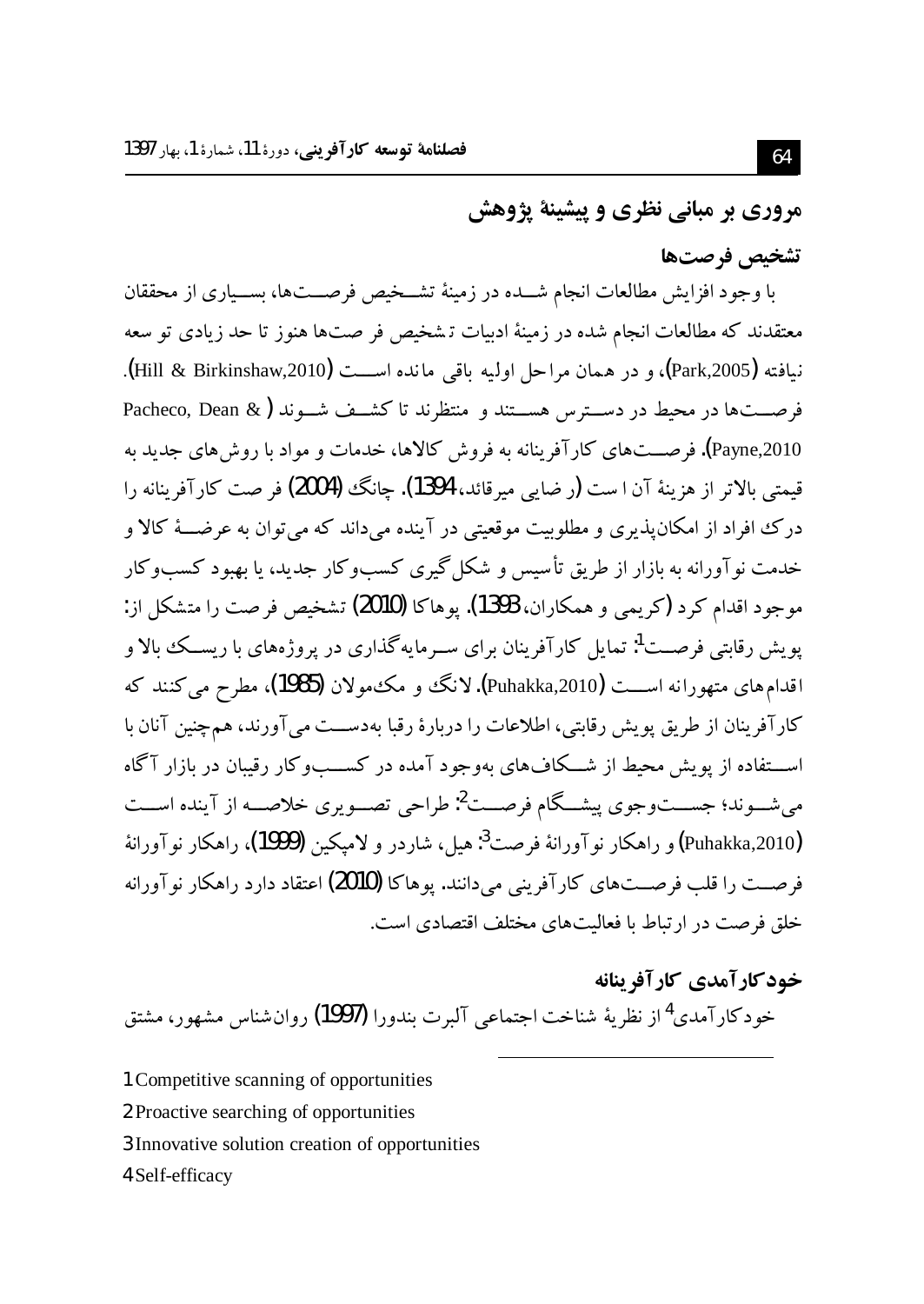مروري بر مباني نظري و پيشينهٔ پژوهش

#### تشخيص فرصتها

با وجود افزایش مطالعات انجام شــده در زمینهٔ تشــخیص فرصــتها، بســیاری از محققان معتقدند که مطالعات انجام شده در زمینهٔ ادبیات تشخیص فر صتها هنوز تا حد زیادی تو سعه نيافته (Park,2005)، و در همان مراحل اوليه باقي مانده اســـت (Hill & Birkinshaw,2010). فرصـــتها در محبط در دســترس هســتند و منتظرند تا کشــف شــوند (& Pacheco, Dean .<br>Payne,2010). فرصـــتهای کارآفرینانه به فروش کالاها، خدمات و مواد با روش های جدید به قيمتي بالاتر از هزينهٔ آن ا ست (ر ضايي ميرقائد، 1394). چانگ (2004) فر صت كارآفرينانه را درک افراد از امکان پذیری و مطلوبیت موقعیتی در آینده می داند که می توان به عرضـــهٔ کالا و خدمت نوآورانه به بازار از طریق تأسیس و شکل گیری کسبوکار جدید، یا بهبود کسبوکار موجود اقدام كرد (كريمي و همكاران، 1393). يوهاكا (2010) تشخيص فرصت را متشكل از: یو پش رقابتی فرصــت<sup>1</sup>: تمایل کار آفرینان برای ســرمایه گذاری در پروژههای با ریســک بالا و اقدام های متهورانه اســـت (Puhakka,2010). لانگ و مکمولان (1985)، مطرح می کنند که كارآفرينان از طريق يويش رقابتي، اطلاعات را دربارهٔ رقبا بهدســت مي آورند، همچنين آنان با اســـتفاده از یویش محیط از شـــکاف۱عای بهوجود آمده در کســـبوکار رقبیان در بازار آگاه می شــوند؛ جســـتوجوی پیشــگام فرصــت<sup>2</sup>: طراحی تصــویوی خلاصــه از آینده اســت (Puhakka,2010) و راهكار نوآورانهٔ فرصت<sup>3</sup>: هيل، شاردر و لاميكين **(1999)،** راهكار نوآورانهٔ فرصــت را قلب فرصــتهای کار آفرینی مے دانند. بوهاکا **(2010)** اعتقاد دارد راهکار نو آورانه خلق فرصت در ارتباط با فعالیتهای مختلف اقتصادی است.

- خود کارآمدی کارآفرینانه خودكارآمدي<sup>4</sup>از نظريهٔ شناخت اجتماعي آلبرت بندورا **(1997)** روان شناس مشهور، مشتق
- 1 Competitive scanning of opportunities
- 2 Proactive searching of opportunities
- 3 Innovative solution creation of opportunities
- 4 Self-efficacy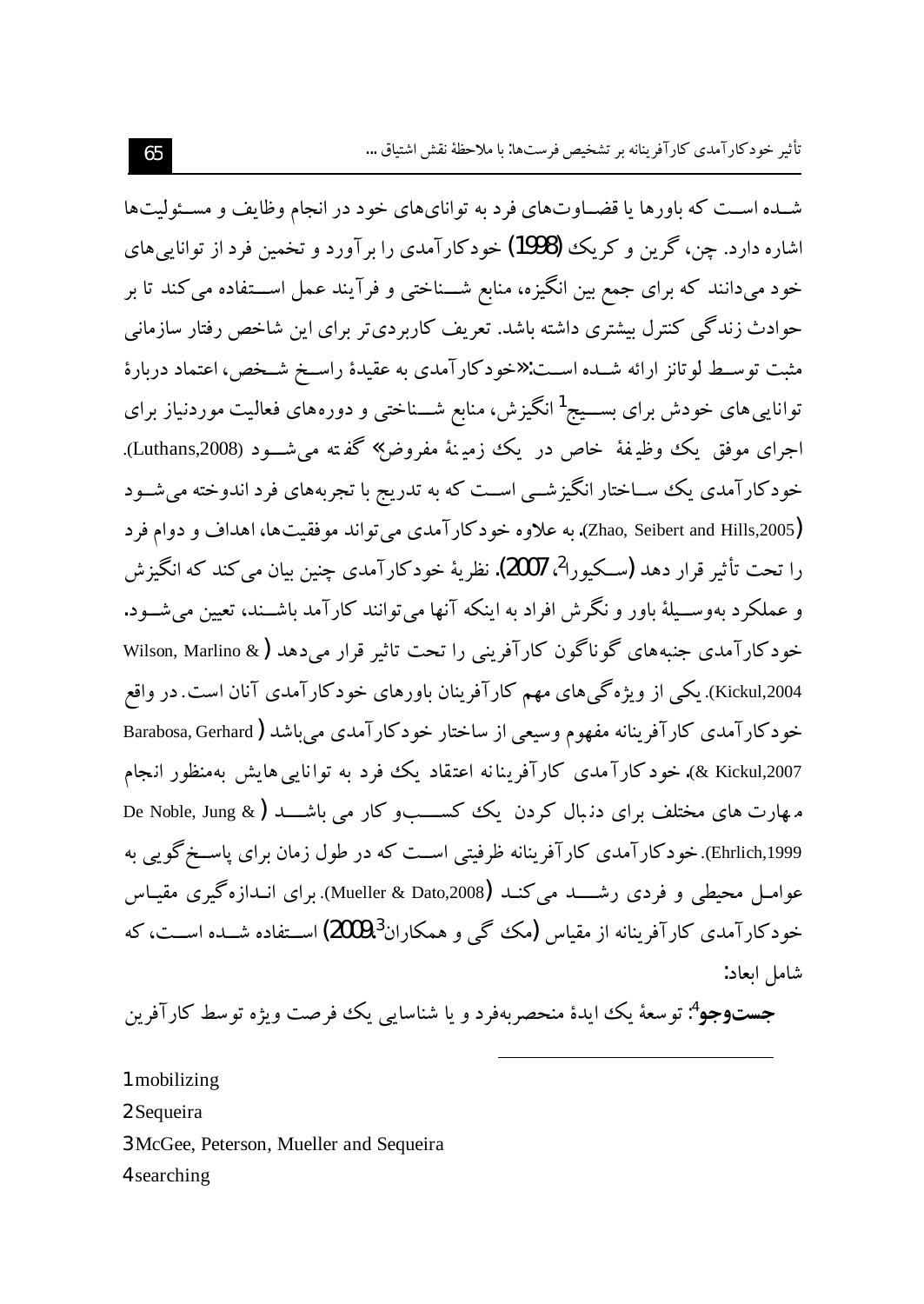شـده اسـت که باورها یا قضـاوتهای فرد به توانایهای خود در انجام وظایف و مسـئولیتها اشاره دارد. چن، گرین و کریک **(1998)** خودکارآمدی را بر آورد و تخمین فرد از توانایی های .<br>خود می دانند که برای جمع بین انگیزه، منابع شـــناختی و فرآیند عمل اســـتفاده می کند تا بر حوادث زندگی کنترل بیشتری داشته باشد. تعریف کاربردیتر برای این شاخص رفتار سازمانی مثبت توسـط لو تانز ارائه شـده اسـت: «خو دکار آمدی به عقیدهٔ راسـخ شـخص، اعتماد دربارهٔ توانایی های خودش برای بســـیج<sup>1</sup>انگیزش، منابع شـــناختی و دورههای فعالیت موردنیاز برای اجراى موفق يك وظيفة خاص در يك زمينة مفروض» گفته مىشــود (Luthans,2008). .<br>خو دکار آمدی یک ســاختار انگیز شـــ اســت که به تدریج با تجربههای فرد اندوخته می شــود (Zhao, Seibert and Hills,2005). به علاوه خود كار آمدي مي تواند موفقيت ها، اهداف و دوام فرد را تحت تأثير قرار دهد (سـكيورا<sup>2</sup>، 2007). نظريهٔ خودكارآمدي چنين بيان مي كند كه انگيز ش و عملکرد بهوســيلهٔ باور و نگرش افراد به اينکه آنها مي توانند کارآمد باشــند، تعيين مي شــود. خودکارآمدی جنبههای گوناگون کارآفرینی را تحت تاثیر قرار می دهد (& Wilson, Marlino Kickul,2004). يكي از ويژه گي هاي مهم كارآفرينان باورهاي خودكارآمدي آنان است. در واقع خودکارآمدی کارآفرینانه مفهوم وسیعی از ساختار خودکارآمدی می باشد (Barabosa, Gerhard 2007,Kickul &). خود کارآ مدی کارآفرینانه اعتقاد یک فرد به توانایی هایش بهمنظور انجام مهارت های مختلف برای دنبال کردن یک کســــــــــــو کار می باشـــــد ( De Noble, Jung & Ehrlich,1999). خودکارآمدی کارآفرینانه ظرفیتی است که در طول زمان برای یاسـخ گویی به عوامـل محیطی و فردی رشـــــد می کنــد (Mueller & Dato,2008). برای انــدازه گیری مقیــاس خودکار آمدی کار آفرینانه از مقیاس (مک گ<sub>ے</sub> و همکاران<sup>3</sup>،2009) اســتفاده شــده اســت، که شامل العاد:

**جست9جو<sup>4</sup>:** توسعهٔ یک ایدهٔ منحصربهفرد و یا شناسای<sub>ی</sub> یک فرصت ویژه توسط کارآفرین

1 mobilizing

2 Sequeira

3 McGee, Peterson, Mueller and Sequeira

4 searching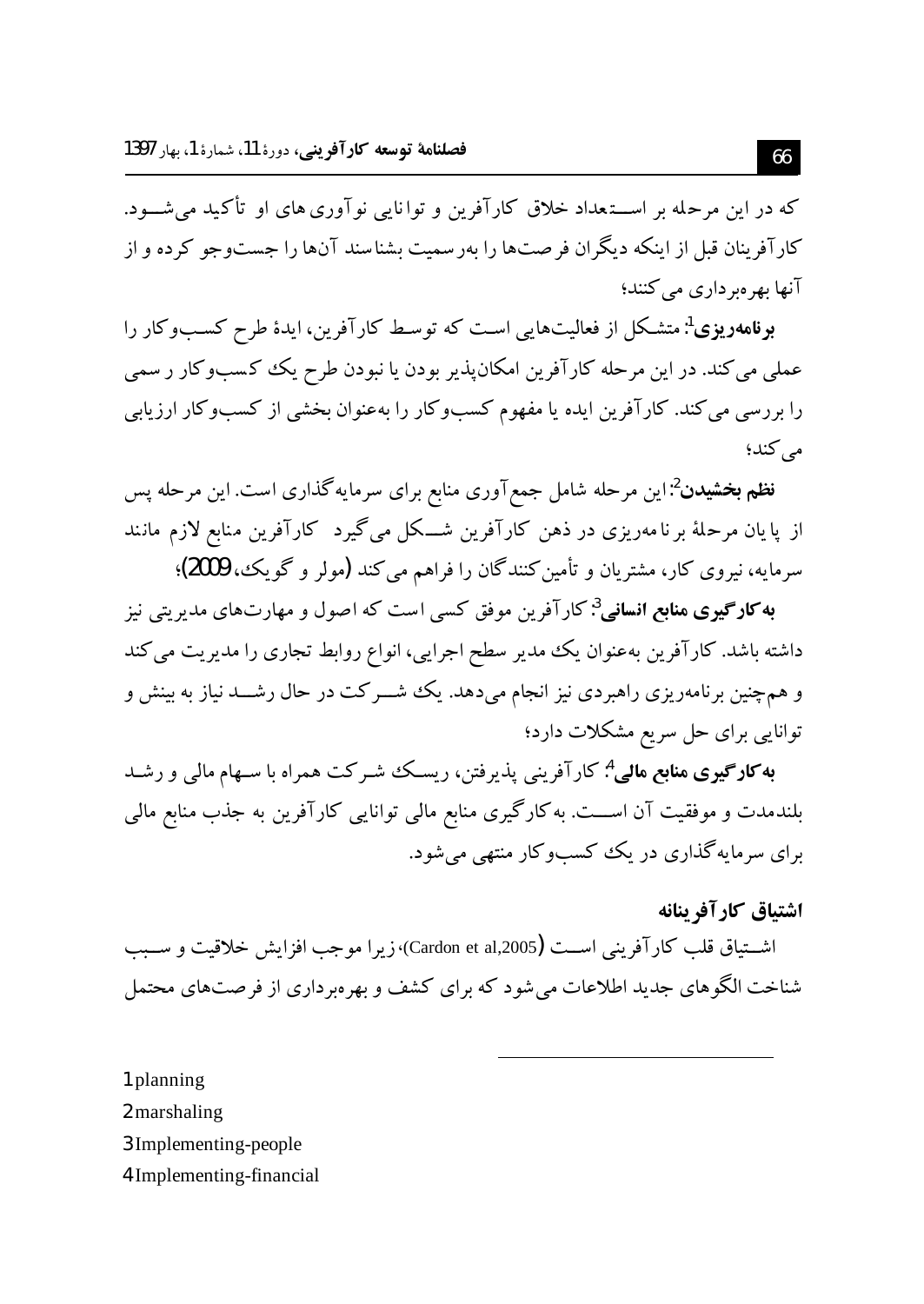که در این مرحله بر اســـتعداد خلاق کارآفرین و توانایی نوآوری های او تأکید می شـــود. کارآفرینان قبل از اینکه دیگران فر صتها را بهرسمیت بشناسند آنها را جستوجو کرده و از آنها بهر مبر داری می کنند؛

**بونامهویوی**':متشکل از فعالیتهایی است که توسط کارآفرین، ایدهٔ طرح کسبوکار را عملي مي كند. در اين مرحله كارآفرين امكانپذير بودن يا نبودن طرح يك كسبوكار ر سمي را بررسی می کند. کارآفرین ایده یا مفهوم کسبوکار را بهعنوان بخشی از کسبوکار ارزیابی مې کند؛

فظم بخشیدن<sup>2</sup>:این مرحله شامل جمع آوری منابع برای سرمایه گذاری است. این مرحله پس از پایان مرحلهٔ برنامهریزی در ذهن کارآفرین شــکل میگیرد کارآفرین منابع لازم مانند سرمايه، نيروي كار، مشتريان و تأمين كنندگان را فراهم مي كند (مولر و گويك، 2009)؛

**به کارگیری منابع انسانی<sup>3</sup> کار آفرین موفق کسی است که اصول و مهارتهای مدیریتی نیز** داشته باشد. کارآفرین بهعنوان یک مدیر سطح اجرایی، انواع روابط تجاری را مدیریت می کند و همچنین برنامهریزی راهبردی نیز انجام میدهد. یک شـــرکت در حال رشـــد نیاز به بینش و توانایی برای حل سریع مشکلات دارد؛

**به کارگیری منابع مالی**<sup>4</sup>: کارآفرینی پذیرفتن، ریسـک شـرکت همراه با سـهام مالی و رشـد بلندمدت و موفقیت آن اســـت. به کارگیری منابع مالی توانایی کارآفرین به جذب منابع مالی برای سرمایه گذاری در یک کسبوکار منتهی می شود.

اشتياق كارآفرينانه

اشــتياق قلب كارآفريني اســت (Cardon et al,2005)،زيرا موجب افزايش خلاقيت و ســبب شناخت الگو های جدید اطلاعات می شود که برای کشف و پهروبر داری از فرصتهای محتمل

1 planning

2 marshaling

3 Implementing-people

4 Implementing-financial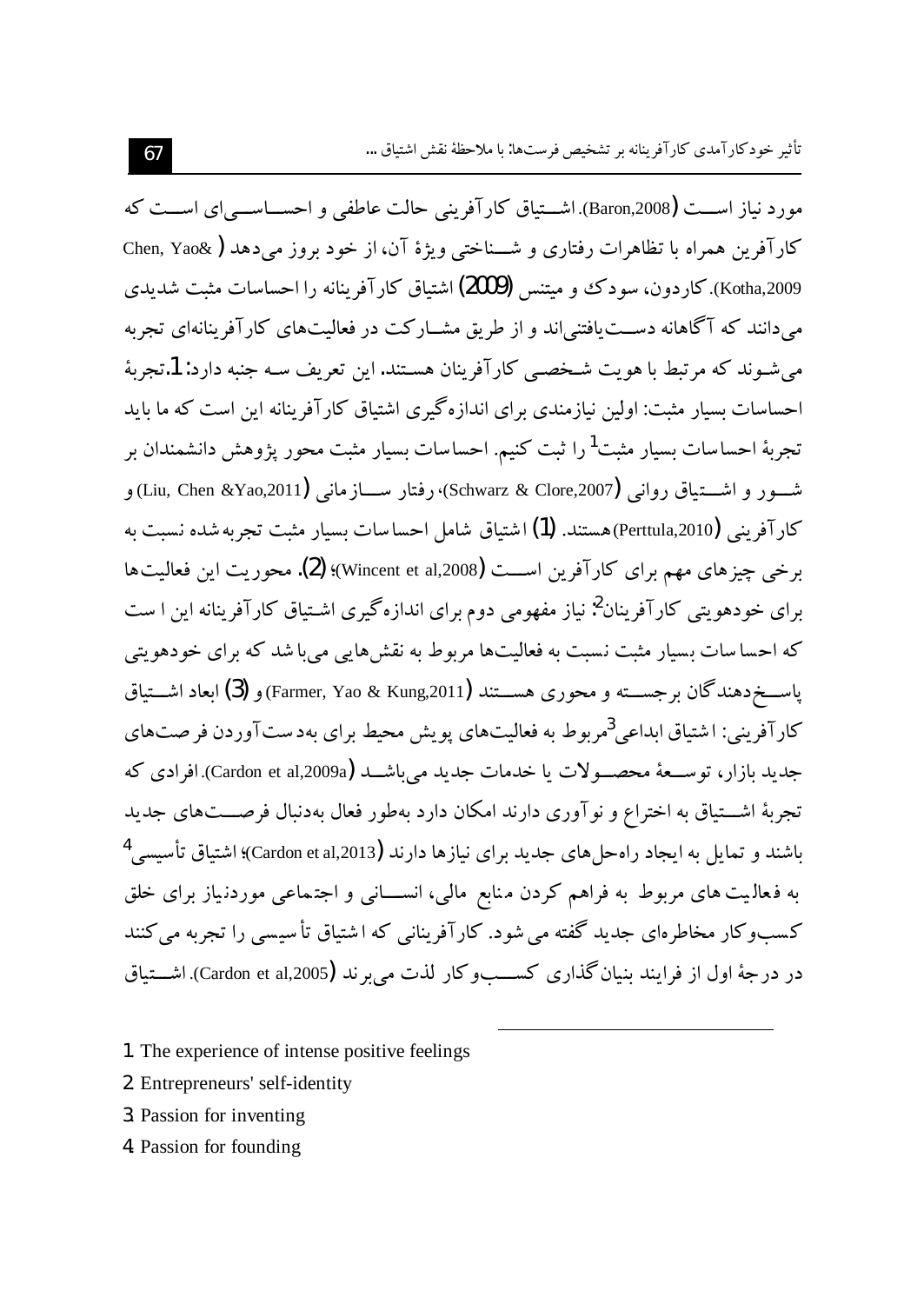مورد نیاز اســت (Baron,2008). اشـــتیاق کار آفرینی حالت عاطفی و احســـاســـی ای اســـت که كارآفرين همراه با تظاهرات رفتاري و شــناختي ويژهٔ آن، از خود بروز مي دهد ( @Chen, Yao Kotha,2009). کاردون، سودک و میتنس (2009) اشتیاق کارآفرینانه را احساسات مثبت شدیدی می،دانند که آگاهانه دســت یافتنی،اند و از طریق مشــارکت در فعالیتهای کارآفرینانهای تجربه می شـوند که مرتبط با هویت شـخصـی کارآفرینان هسـتند. این تعریف سـه جنبه دارد: 1.تجربهٔ احساسات بسیار مثبت: اولین نیازمندی برای اندازهگیری اشتیاق کارآفرینانه این است که ما باید تجربهٔ احساسات بسیار مثبت<sup>1</sup>را ثبت کنیم. احساسات بسیار مثبت محور یژوهش دانشمندان بر شـــور و اشــــتياق رواني (Schwarz & Clore,2007)؛ رفتار ســــازماني (Liu, Chen &Yao,2011) و كارآفريني (Perttula,2010)هستند. (1) اشتياق شامل احساسات بسيار مثبت تجربه شده نسبت به برخی چیز های مهم برای کارآفرین اســت (Wincent et al,2008)؛ (2). محوریت این فعالیت ها برای خودهویتی کارآفرینان<sup>2</sup>: نیاز مفهومی دوم برای اندازهگیری اشـتیاق کارآفرینانه این ا ست که احسا سات بسیار مثبت نسبت به فعالیتها مربوط به نقش هایی می با شد که برای خودهویتی یاســـخِردهندگان برجســـته و محوری هســـتند (Farmer, Yao & Kung,2011) و (3) ایعاد اشـــتباق کار آفرینی: اشتیاق ابداعی <sup>3</sup>مربوط به فعالیتهای یویش محیط برای بهدستآوردن فرصتهای جديد بازار، توســعهٔ محصــولات يا خدمات جديد مي باشــد (Cardon et al,2009a).افرادي كه تجربهٔ اشـــتیاق به اختراع و نو آوری دارند امکان دارد بهطور فعال بهدنبال فرصـــتهای جدید باشند و تمایل به ایجاد راهحل های جدید برای نیازها دارند (Cardon et al,2013)؛ اشتیاق تأسیسی <sup>4</sup> به فعالیت های مربوط به فراهم کردن منابع مالی، انســـانی و اجتماعی موردنیاز برای خلق کسبوکار مخاطرهای جدید گفته می شود. کارآفرینانی که اشتیاق تأسیسی را تجربه می کنند در در جهٔ اول از فرایند بنیان گذاری کســبو کار لذت می بر ند (Cardon et al,2005). اشــتباق

- 1. The experience of intense positive feelings
- 2. Entrepreneurs' self-identity
- 3. Passion for inventing
- 4. Passion for founding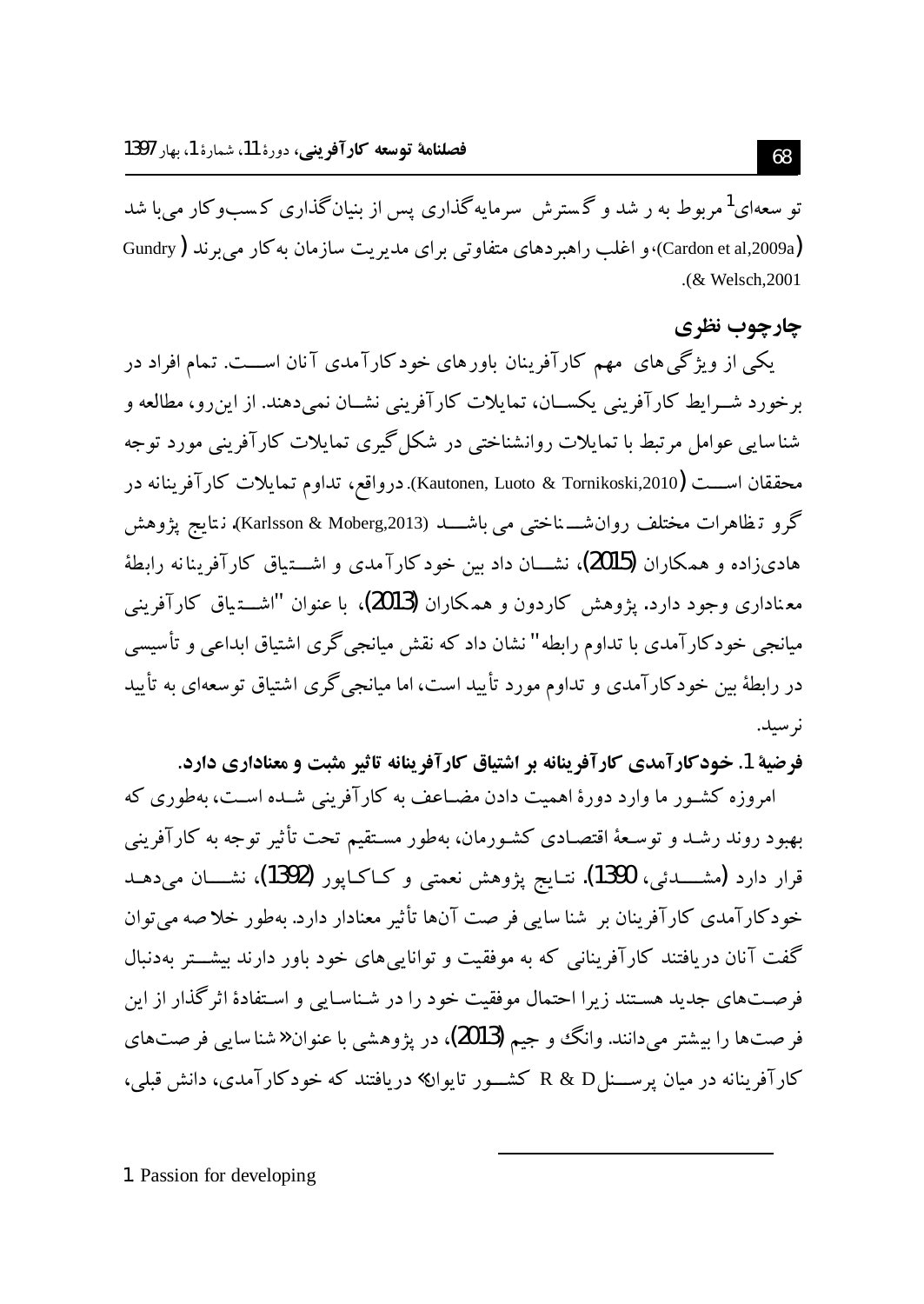تو سعهای<sup>1</sup>مربوط به ر شد و گسترش سرمایهگذاری پس از بنیانگذاری کسبوکار می با شد (Cardon et al,2009a)، و اغلب راهبر دهای متفاوتی برای مدیریت سازمان به کار می برند ( Gundry .(& Welsch, 2001

### چارچوپ نظری

یکی از ویژگی های مهم کارآفرینان باورهای خودکارآمدی آنان اســت. تمام افراد در برخورد شــرايط كارآفريني يكســان، تمايلات كارآفريني نشــان نمي،دهند. از اين٫رو، مطالعه و شناسایی عوامل مرتبط با تمایلات روانشناختی در شکل گیری تمایلات کارآفرینی مورد توجه محققان اســـت (Kautonen, Luoto & Tornikoski,2010). درواقع، تداوم تمايلات كارآفرينانه در گرو تـظاهرات مختلف روان`شـــــناختبي مـي باشـــــــد (Karlsson & Moberg,2013). نـتايج يژوهش هادیزاده و همکاران (2015)، نشــــان داد بین خود کارآمدی و اشــــتیاق کارآفرینانه رابطهٔ معناداری وجود دارد. پژوهش کاردون و همکاران (2013)، با عنوان "اشــــتـیاق کارآفرینبی میانجی خودکارآمدی با تداوم رابطه" نشان داد که نقش میانجی گری اشتیاق ابداعی و تأسیسی در رابطهٔ بین خودکارآمدی و تداوم مورد تأیید است، اما میانجیگری اشتیاق توسعهای به تأیید نر سید.

فرضية 1. خود كارآمدي كارآفرينانه بر اشتياق كارآفرينانه تاثير مثبت و معناداري دارد.

امروزه کشـور ما وارد دورهٔ اهمیت دادن مضـاعف به کارآفرینی شـده اسـت، بهطوری که بهبود روند رشـد و توسـعهٔ اقتصـادی کشـورمان، بهطور مسـتقیم تحت تأثیر توجه به کارآفرینی خودکارآمدی کارآفرینان بر شنا سایی فر صت آنها تأثیر معنادار دارد. بهطور خلا صه می توان گفت آنان دریافتند کارآفرینانی که به موفقیت و توانایی های خود باور دارند بیشت بهدنبال فرصتهای جدید هستند زیرا احتمال موفقیت خود را در شناسایی و استفادهٔ اثر گذار از این فر صتها را بیشتر می دانند. وانگ و جیم (2013)، در پژوهشی با عنوان «شناسایی فر صتهای کارآفرینانه در میان پرسسنلR & D، کشور تایوان» دریافتند که خودکارآمدی، دانش قبلی،

1. Passion for developing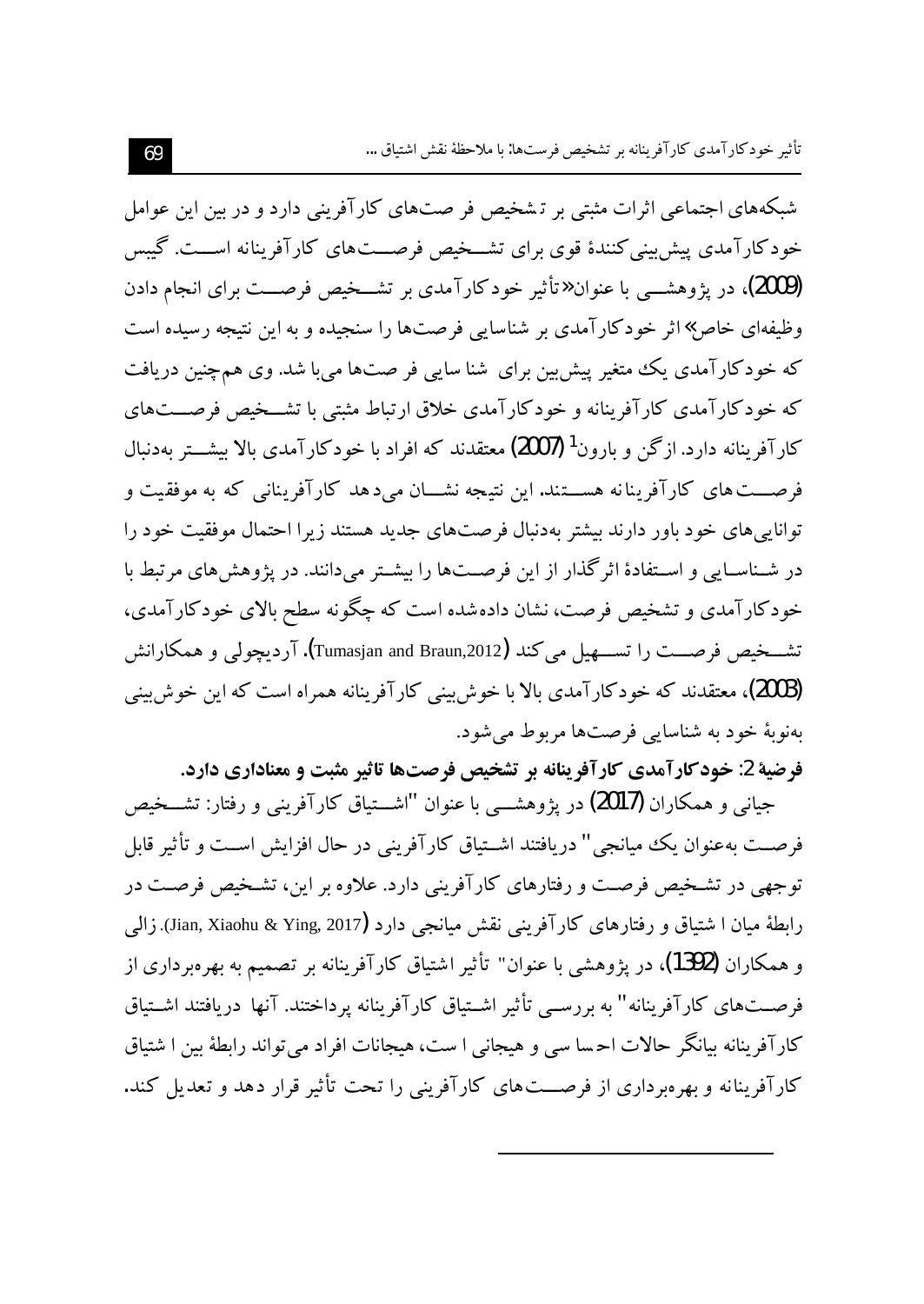شبکههای اجتماعی اثرات مثبتی بر تشخیص فر صتهای کارآفرینی دارد و در بین این عوامل خودکارآمدی پیش بینی کنندهٔ قوی برای تشــخیص فرصـــتهای کارآفرینانه اســـت. گیبس (2009)، در یژوهشـــی با عنوان «تأثیر خودکارآمدی بر تشـــخیص فرصـــت برای انجام دادن وظیفهای خاص»اثر خودکارآمدی بر شناسایی فرصتها را سنجیده و به این نتیجه رسیده است که خودکارآمدی یک متغیر پیش بین برای شنا سایی فر صتها می با شد. وی همچنین دریافت که خودکارآمدی کارآفرینانه و خودکارآمدی خلاق ارتباط مثبتی با تشــخیص فرصــتهای کارآفرینانه دارد. ازگن و بارون<sup>1</sup> (2007) معتقدند که افراد با خودکارآمدی بالا بیشـــتر بهدنبال فرصـــت های کارآفرینانه هســـتند. این نتیجه نشـــان می٫دهد کارآفرینانی که به موفقیت و توانایی های خود باور دارند بیشتر بهدنبال فرصتهای جدید هستند زیرا احتمال موفقیت خود را در شـناسـایی و اسـتفادهٔ اثر گذار از این فرصــتها را بیشـتر می۱دانند. در یژوهش های مرتبط با خودکار آمدی و تشخیص فرصت، نشان دادهشده است که چگونه سطح بالای خودکار آمدی، تشــخيص فرصــت را تســـهيل مي كند (Tumasjan and Braun,2012). آرديجولي و همكارانش (2003)، معتقدند که خودکارآمدی بالا با خوش بینی کارآفرینانه همراه است که این خوش بینی ىەنوپە خود بە شناسايى فرصتها مربوط مى شود.

فرضیهٔ 2: خود کارآمدی کارآفرینانه بر تشخیص فرصتها تاثیر مثبت و معناداری دارد. جیانبی و همکاران (2017) در پژوهشــــی با عنوان "اشــــتیاق کارآفرینبی و رفتار: تشـــخیص فرصــت بهعنوان يك ميانجي " دريافتند اشــتياق كارآفريني در حال افزايش اســت و تأثير قابل توجهی در تشـخیص فرصـت و رفتارهای کارآفرینی دارد. علاوه بر این، تشـخیص فرصـت در رابطهٔ میان ا شتیاق و رفتارهای کارآفرینی نقش میانجی دارد (Jian, Xiaohu & Ying, 2017). زالمی و همکاران (1392)، در یژوهشی با عنوان" تأثیر اشتیاق کارآفرینانه بر تصمیم به بهرهبرداری از فرصــتهای کارآفرینانه" به بررســی تأثیر اشــتیاق کارآفرینانه پرداختند. آنها دریافتند اشــتیاق كارآفرينانه بيانگر حالات احسا سي و هيجاني ا ست، هيجانات افراد مي تواند رابطهٔ بين ا شتياق کار آفربنانه و بهرهبرداری از فرصـــتهای کارآفرینی را تحت تأثیر قرار دهد و تعدیل کند.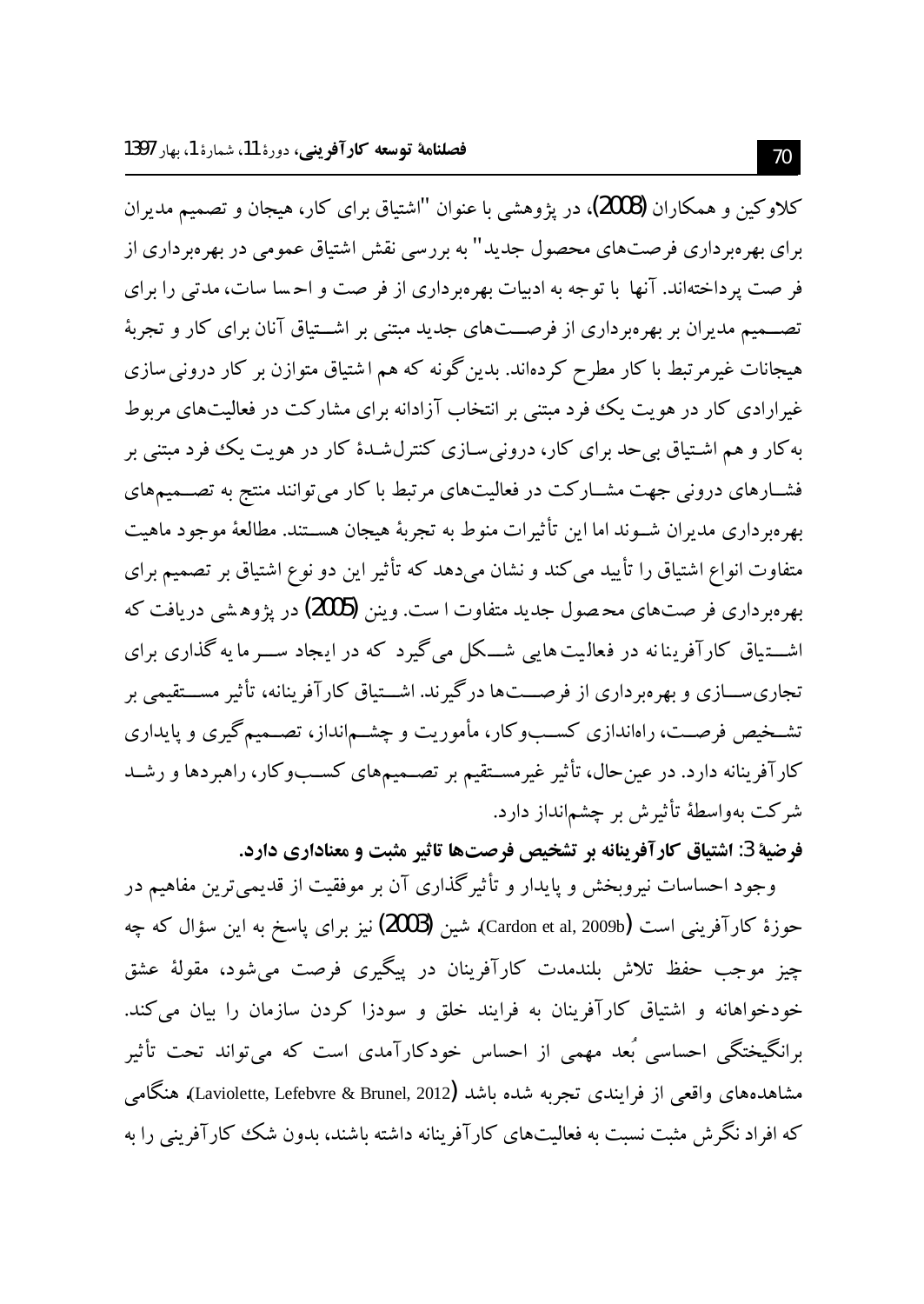كلاوكين و همكاران (2008)، در يژوهشي با عنوان "اشتياق براي كار، هيجان و تصميم مديران برای بهرهبرداری فرصتهای محصول جدید" به بررسی نقش اشتیاق عمومی در بهرهبرداری از فر صت یر داختهاند. آنها با توجه به ادبیات بهرهبرداری از فر صت و احسا سات، مدتی را برای تصـــمیم مدیران بر بهرهبرداری از فرصـــتهای جدید مبتنی بر اشـــتیاق آنان برای کار و تجربهٔ هیجانات غیرمرتبط با کار مطرح کردهاند. بدین گونه که هم اشتیاق متوازن بر کار درونی سازی غیرارادی کار در هویت یک فرد مبتنی بر انتخاب آزادانه برای مشارکت در فعالیتهای مربوط به کار و هم اشـتياق بي حد براي کار، دروني سـازي کنترلشـدۀ کار در هويت يک فود مبتني بر فشــارهای درونی جهت مشــارکت در فعالیتهای مرتبط با کار می توانند منتج به تصـــمیمهای بهر مر داری مدیران شـوند اما این تأثیرات منوط به تجربهٔ هیجان هســتند. مطالعهٔ موجود ماهیت متفاوت انواع اشتیاق را تأیید می کند و نشان میدهد که تأثیر این دو نوع اشتیاق بر تصمیم برای بهرهبر داری فر صتهای محصول جدید متفاوت ا ست. وینن (2005) در یژوهشی دریافت که اشـــتیاق کارآفرینانه در فعالیت هایی شـــکل می گیرد که در ایـجاد ســـر ما یه گذاری برای تجاری ســـازی و بهرهبرداری از فرصـــتها درگیرند. اشـــتیاق کارآفرینانه، تأثیر مســـتقیمی بر تشـخیص فرصـت، راهاندازی کسـبوکار، مأموریت و چشـمانداز، تصـمیمگیری و پایداری کارآفرینانه دارد. در عین حال، تأثیر غیرمســتقیم بر تصــمیمهای کســبوکار، راهبردها و رشــد شرکت بهواسطهٔ تأثیرش بر چشمانداز دارد.

فرضية 3: اشتياق كارآفرينانه بر تشخيص فرصتها تاثير مثبت و معناداري دارد.

وجود احساسات نیروبخش و پایدار و تأثیرگذاری آن بر موفقیت از قدیمیترین مفاهیم در حوزهٔ کارآفرینی است (Cardon et al, 2009b). شین (**2003)** نیز برای پاسخ به این سؤال که چه چيز موجب حفظ تلاش بلندمدت كارآفرينان در پيگيري فرصت مي شود، مقولهٔ عشق خودخواهانه و اشتیاق کارآفرینان به فرایند خلق و سودزا کردن سازمان را بیان می کند. برانگیختگی احساسی بُعد مهمی از احساس خودکارآمدی است که میٍتواند تحت تأثیر مشاهدههای واقعی از فرایندی تجربه شده باشد (Laviolette, Lefebvre & Brunel, 2012). هنگامی که افراد نگرش مثبت نسبت به فعالیتهای کارآفرینانه داشته باشند، بدون شک کارآفرینی را به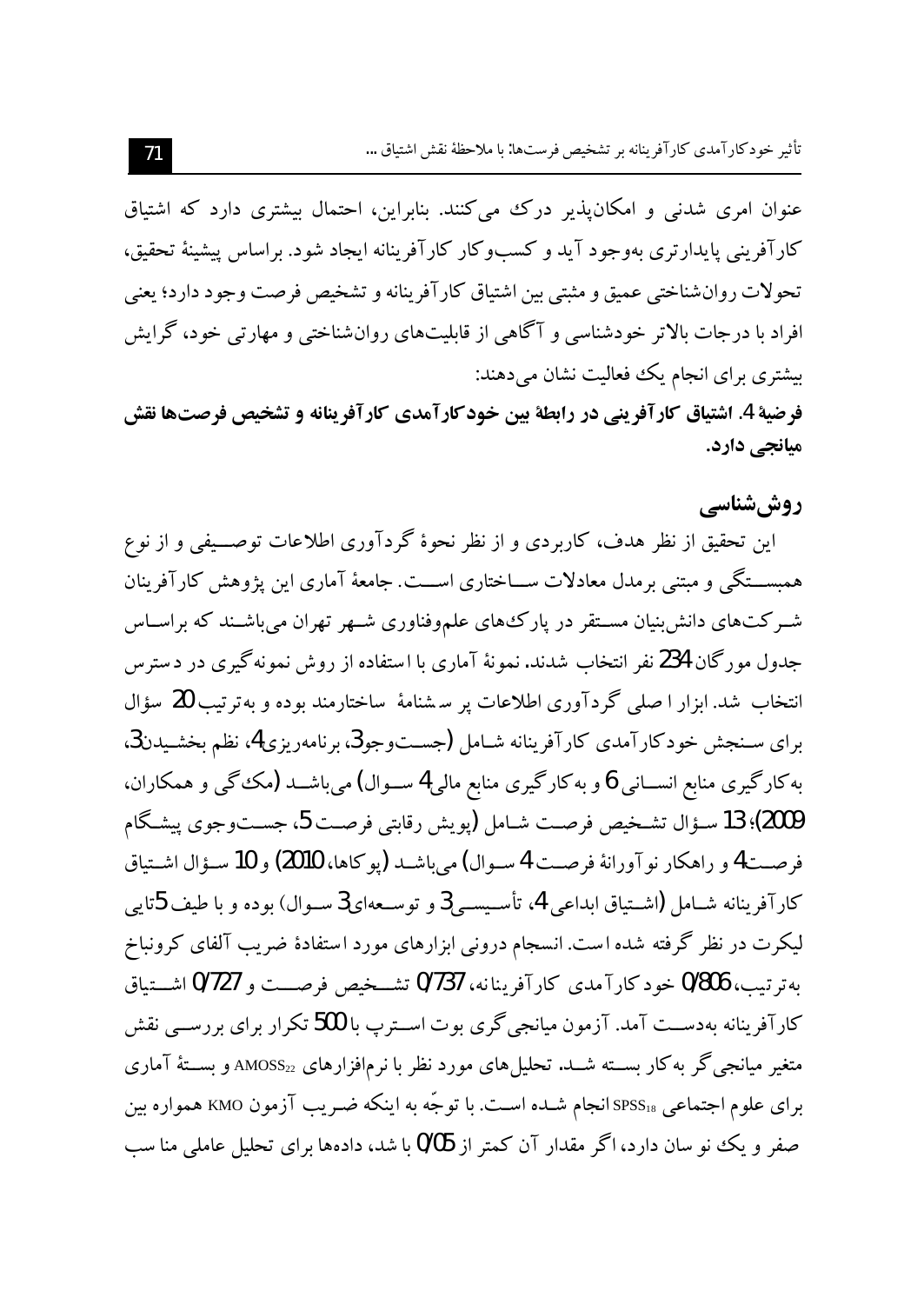عنوان امری شدنی و امکان پذیر درک می کنند. بنابراین، احتمال بیشتری دارد که اشتیاق کارآفرینی پایدارتری بهوجود آید و کسبوکار کارآفرینانه ایجاد شود. براساس پیشینهٔ تحقیق، تحولات روان شناختي عميق و مثبتي بين اشتياق كار آفرينانه و تشخيص فرصت وجود دارد؛ يعني افراد ما در جات بالاتر خودشناسی و آگاهی از قابلیتهای روان شناختی و مهارتی خود، گرایش بیشتری برای انجام یک فعالیت نشان میدهند:

فرضية 4. اشتياق كارآفريني در رابطة بين خودكارآمدي كارآفرينانه و تشخيص فرصتها نقش میانجی دارد.

روش شناسے

این تحقیق از نظر هدف، کاربردی و از نظر نحوهٔ گردآوری اطلاعات توصــیفی و از نوع همبســتگي و مبتني برمدل معادلات ســـاختاري اســـت. جامعهٔ آماري اين يژوهش كارآفرينان شـرکتهای دانش بنیان مسـتقر در پارکـهای علموفناوری شـهر تهران میباشـند که براسـاس جدول مورگان 234 نفر انتخاب شدند. نمونهٔ آماری با استفاده از روش نمونهگیری در دسترس انتخاب شد. ابزار ا صلی گردآوری اطلاعات پر سشنامهٔ ساختارمند بوده و بهترتیب 20 سؤال براي سـنجش خودكارآمدي كارآفرينانه شـامل (جسـتوجو3، برنامهريزي4، نظم بخشـيدن3، به کارگیری منابع انســـانی 6 و به کارگیری منابع مالی4 ســـوال) می باشـــد (مک گی و همکاران، 2009)؛ 13 سـؤال تشـخيص فرصـت شـامل (يويش رقابتي فرصـت 5، جســتوجوي پيشـگام فرصــت4 و راهكار نو آورانهٔ فرصــت 4 ســوال) مي باشــد (يوكاها، 2010) و 10 ســؤال اشــتياق كارآفرينانه شــامل (اشــتياق ابداعي 4، تأســيســي2 و توســعهاي3 ســوال) بوده و با طيف 5تايي لیکرت در نظر گرفته شده است. انسجام درونی ابزارهای مورد استفادهٔ ضریب آلفای کرونباخ بهترتيب، 0/806 خود كارآمدي كارآفرينانه، 0/737 تشــخيص فرصـــت و 0/727 اشـــتياق کارآفرینانه بهدســت آمد. آزمون میانجی گری بوت اســترپ با 500 تکرار برای بررســی نقش متغیر میانجیگر به کار بســته شــد. تحلیلهای مورد نظر با نرمافزارهای  $_{22}$ AMOSS $_2$  و بســتهٔ آماری برای علوم اجتماعی SPSS<sub>۱8</sub> انجام شـده اسـت. با توجّه به اینکه ضـریب آزمون KMO همواره بین صفر و یک نو سان دارد، اگر مقدار آن کمتر از 0/05 با شد، دادهها برای تحلیل عاملی منا سب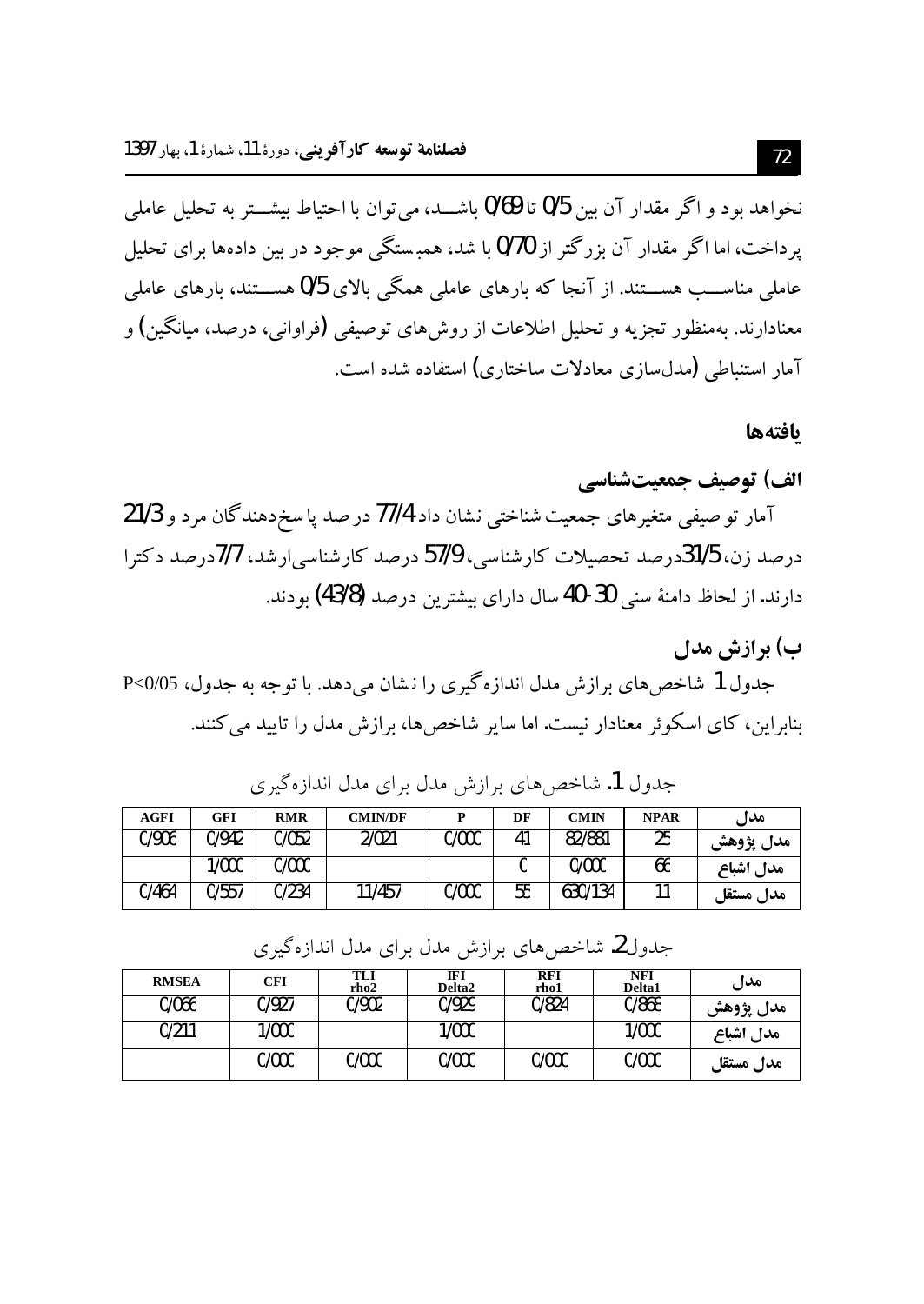نخواهد بود و اگر مقدار آن بین 0/5 تا 0/69 باشــد، می توان با احتیاط بیشــتر به تحلیل عاملی یرداخت، اما اگر مقدار آن بزرگتر از 0/70 با شد، همبستگی موجود در بین دادهها برای تحلیل عاملی مناســـــــ هســـتند. از آنجا که بارهای عاملی همگی بالای 0/5 هســـتند، بارهای عاملی معنادارند. بهمنظور تجزیه و تحلیل اطلاعات از روشهای توصیفی (فراوانی، درصد، میانگین) و آمار استنباطی (مدل سازی معادلات ساختاری) استفاده شده است.

#### بافتهها

# الف) توصيف جمعيتشناسي آمار تو صیفی متغیرهای جمعیت شناختی نشان داد 77/4 در صد یا سخ دهندگان مرد و 21/3 درصد زن، 31/5درصد تحصیلات کارشناسی، 57/9 درصد کارشناسی ارشد، 7/7درصد دکترا دارند. از لحاظ دامنهٔ سنی 30-40 سال دارای بیشترین درصد (43/8) بو دند.

## ب) يوازش مدل

جدول 1 شاخص هاي برازش مدل اندازه گيري را نشان مي دهد. با توجه به جدول، 05/05<r بنابراین، کای اسکوئر معنادار نیست. اما سایر شاخص ها، برازش مدل را تایید می کنند.

| AGFI  | GFI   | <b>RMR</b> | <b>CMIN/DF</b> |       | DF | <b>CMIN</b> | <b>NPAR</b> | مدل       |
|-------|-------|------------|----------------|-------|----|-------------|-------------|-----------|
| 0/906 | 0/942 | 0/052      | 2/021          | 0/000 | 41 | 82/881      | 25          | مدل پژوهش |
|       | 1/000 | 0/000      |                |       |    | 0/000       | 66          | مدل اشباع |
| 0/464 | 0/557 | 0/234      | 11/457         | 0/000 | 55 | 630/134     | 11          | مدل مستقا |

جدول 1. شاخص های برازش مدل برای مدل اندازهگیری

| جدول2. شاخصهای برازش مدل برای مدل اندازهگیری |  |  |  |  |  |  |  |  |
|----------------------------------------------|--|--|--|--|--|--|--|--|
|----------------------------------------------|--|--|--|--|--|--|--|--|

| <b>RMSEA</b> | <b>CFI</b> | TLI<br>rho <sub>2</sub> | IF)<br>Delta <sub>2</sub> | <b>RFI</b><br>rho1 | NFI<br>Delta1 | مدل       |
|--------------|------------|-------------------------|---------------------------|--------------------|---------------|-----------|
| 0/066        | 0/927      | 0/902                   | 0/929                     | 0/824              | 0/868         | مدل پژوهش |
| 0/211        | 1/000      |                         | 1/000                     |                    | 1/000         | مدل اشباع |
|              | 0/000      | 0/000                   | 0/000                     | 0/000              | 0/000         | مدل مستقل |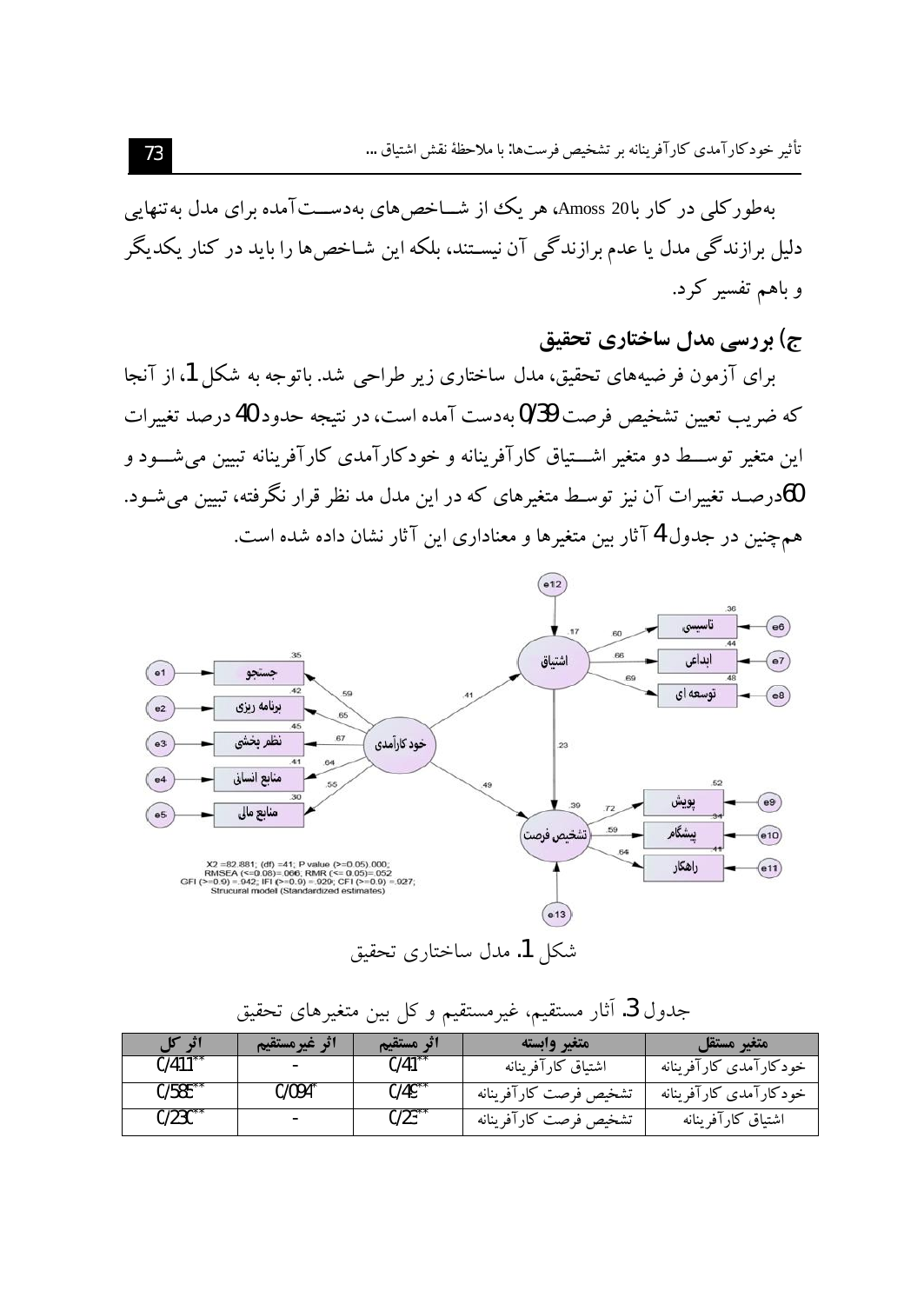بهطورکلی در کار با20 Amoss، هر یک از شــاخص های بهدســتآمده برای مدل به تنهایی دلیل برازندگی مدل یا عدم برازندگی آن نیسـتند، بلکه این شـاخص۱ها را باید در کنار یکدیگر و باهم تفسیر کرد.

ج) بررسی مدل ساختاری تحقیق

برای آزمون فرضیههای تحقیق، مدل ساختاری زیر طراحی شد. باتوجه به شکل 1، از آنجا که ضریب تعیین تشخیص فرصت 9/39 بهدست آمده است، در نتیجه حدود 40 درصد تغییرات این متغیر توســط دو متغیر اشـــتیاق کارآفرینانه و خودکارآمدی کارآفرینانه تبیین میشـــود و 60درصــد تغییرات آن نیز توسـط متغیرهای که در این مدل مد نظر قرار نگرفته، تبیین میشـود. همچنین در جدول 4 آثار بین متغیرها و معناداری این آثار نشان داده شده است.



شكل 1. مدل ساختاري تحقيق

| اثر کل | اثر غيرمستقيم | اثر مستقيم           | متغير وابسته           | متغير مستقل            |
|--------|---------------|----------------------|------------------------|------------------------|
| 0/411  |               | $0/41$ <sup>**</sup> | اشتباق كارآفرينانه     | خودكارآمدي كارآفرينانه |
| 0/585  | J/094^        | $0/49$ <sup>**</sup> | تشخيص فرصت كارآفرينانه | خودكارآمدي كارآفرينانه |
| 0/230  | $\sim$        | $0/23^{*}$           | تشخيص فرصت كارآفرينانه | اشتياق كارآفرينانه     |

جدول 3. آثار مستقیم، غیرمستقیم و کل بین متغیرهای تحقیق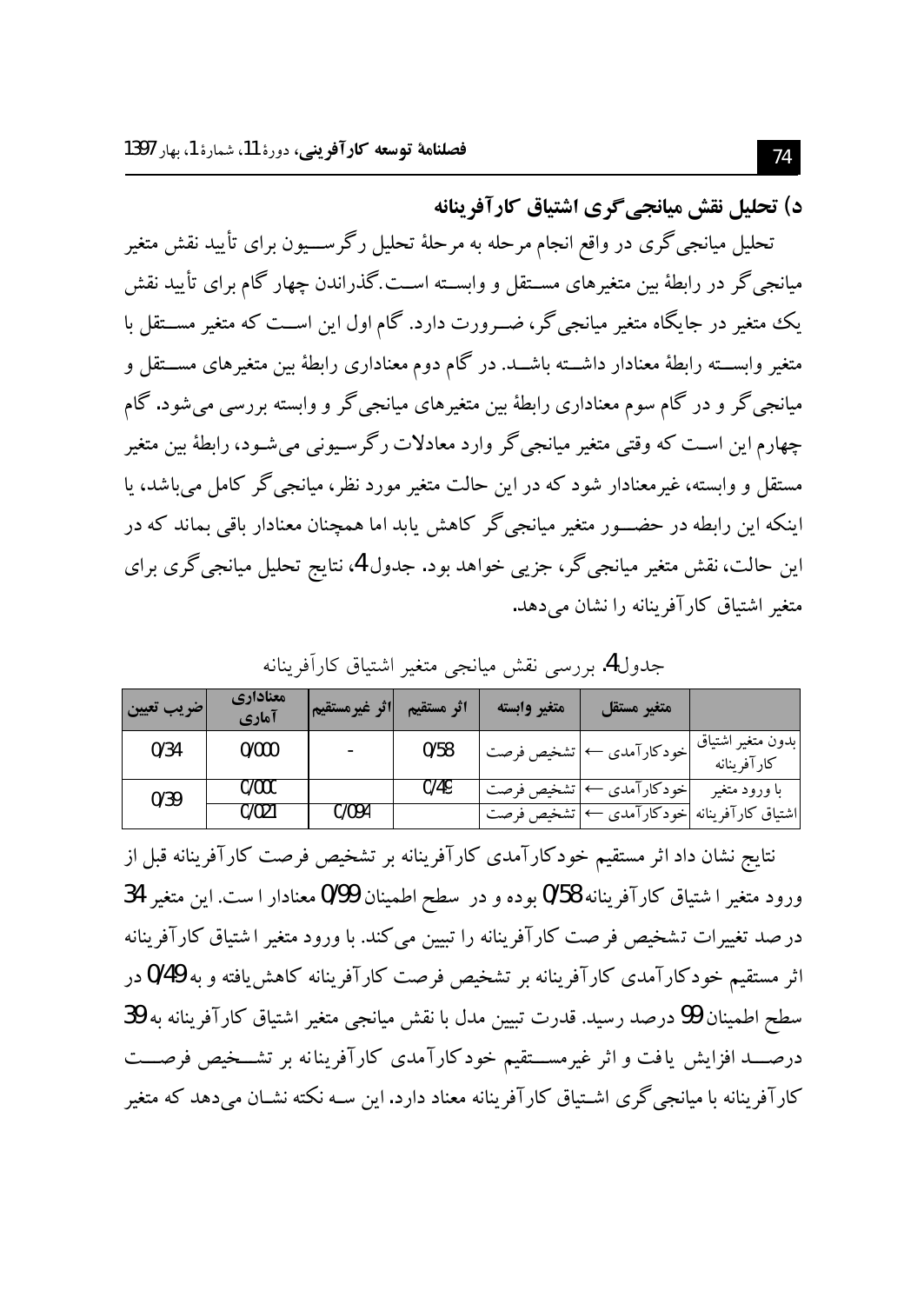د) تحليل نقش ميانجي گري اشتياق كارآفرينانه

تحلیل میانجیگری در واقع انجام مرحله به مرحلهٔ تحلیل رگرســـیون برای تأیید نقش متغیر میانجیگر در رابطهٔ بین متغیرهای مســتقل و وابســته اســت.گذراندن چهار گام برای تأیید نقش یک متغیر در جایگاه متغیر میانجی گر، ضــرورت دارد. گام اول این اســت که متغیر مســتقل با متغیر وابســـته رابطهٔ معنادار داشـــته باشـــد. در گام دوم معناداری رابطهٔ بین متغیرهای مســـتقل و میانجی گر و در گام سوم معناداری رابطهٔ بین متغیرهای میانجی گر و وابسته بررسی می شود. گام چهارم این اسـت که وقتی متغیر میانجی گر وارد معادلات رگرسـیونی می شـود، رابطهٔ بین متغیر مستقل و وابسته، غیرمعنادار شود که در این حالت متغیر مورد نظر، میانجی گر کامل می باشد، یا اینکه این رابطه در حضـــور متغیر میانجیگر کاهش یابد اما همچنان معنادار باقی بماند که در این حالت، نقش متغیر میانجی گر، جزیبی خواهد بود. جدول 4، نتایج تحلیل میانجی گری برای متغیر اشتیاق کارآفرینانه را نشان می دهد.

| ضريب تعيين | معناداري<br>آماري | اثر غيرمستقيم | اثر مستقيم | متغير وابسته | متغير مستقل     |                                                         |
|------------|-------------------|---------------|------------|--------------|-----------------|---------------------------------------------------------|
| 0/34       | 0/000             |               | 0/58       | تشخيص فرصت   | اخودکارآمدي ← ا | بدون متغير اشتياق<br>كارآفرينانه                        |
| 0/39       | 0/000             |               | 0/49       | تشخيص فرصت   | خودکارآمدی ←    | با ورود متغير                                           |
|            | 0/021             | 0/094         |            |              |                 | اشتياق كارآفرينانه <mark>خودكارآمدى ←</mark> تشخيص فرصت |

جدول4. بررسي نقش ميانجي متغير اشتياق كارأفرينانه

نتايج نشان داد اثر مستقيم خودكارآمدي كارآفرينانه بر تشخيص فرصت كارآفرينانه قبل از ورود متغير ا شتياق كارآفرينانه 0/58 بوده و در سطح اطمينان 0/99 معنادار ا ست. اين متغير 34 در صد تغییرات تشخیص فر صت کارآفرینانه را تبیین می کند. با ورود متغیر اشتیاق کارآفرینانه اثر مستقیم خودکارآمدی کارآفرینانه بر تشخیص فرصت کارآفرینانه کاهش یافته و به 0/49 در سطح اطمينان 99 درصد رسيد. قدرت تبيين مدل با نقش ميانجي متغير اشتياق كارآفرينانه به 39 درصـــد افزایش یافت و اثر غیرمســـتقیم خودکارآمدی کارآفرینانه بر تشـــخیص فرصـــت کارآفرینانه با میانجی گری اشــتیاق کارآفرینانه معناد دارد. این ســه نکته نشــان میٖدهد که متغیر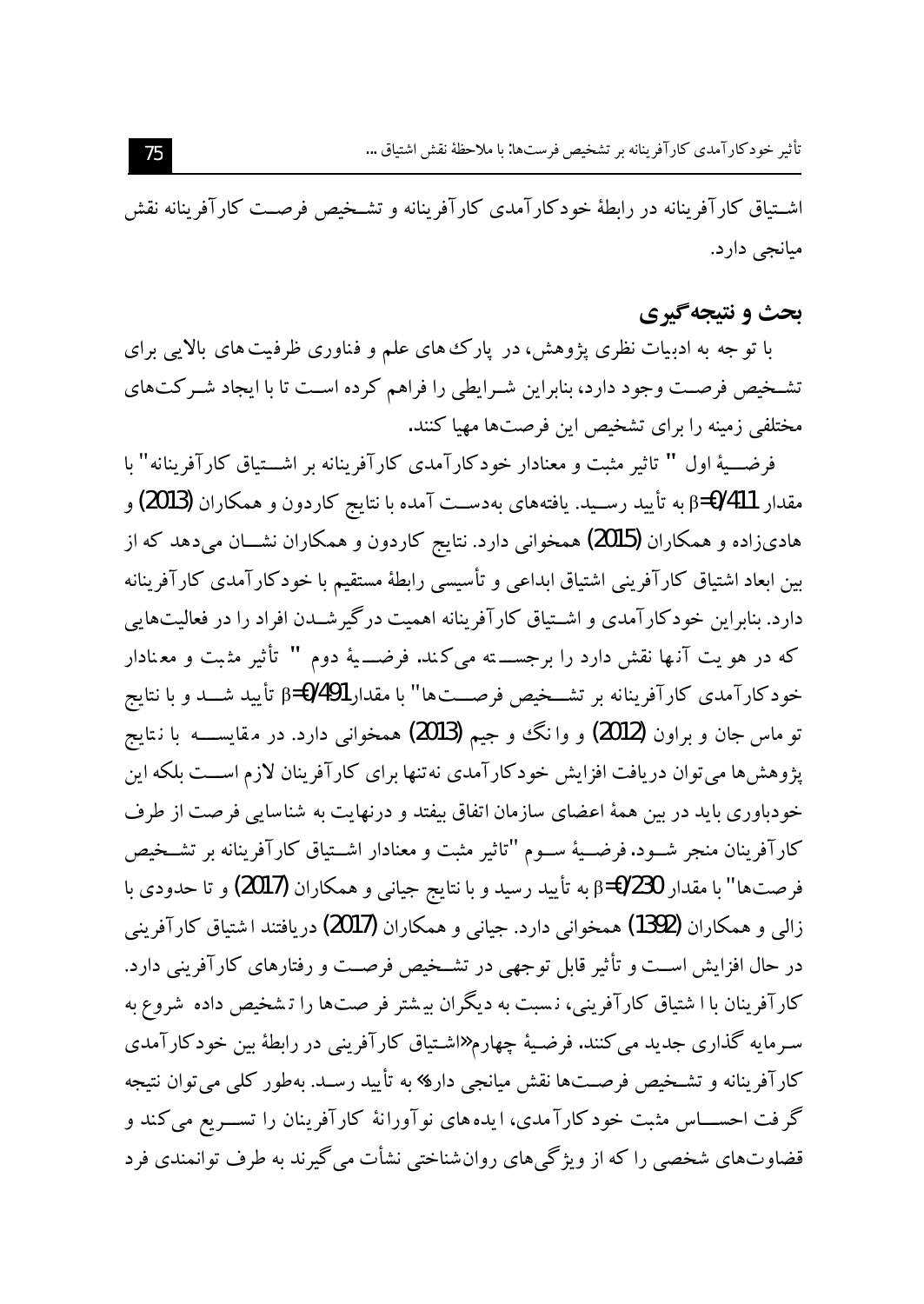اشـتياق كارآفرينانه در رابطهٔ خودكارآمدي كارآفرينانه و تشـخيص فرصـت كارآفرينانه نقش ميانجي دارد.

## **بحث و نتیجه گیری**

با تو جه به ادبیات نظری پژوهش، در پارک های علم و فناوری ظرفیت های بالایی برای تشخیص فرصت وجود دارد، بنابراین شـرایطی را فراهم کرده اسـت تا با ایجاد شـرکتهای مختلفی زمینه را برای تشخیص این فرصتها مهیا کنند.

فرضـــيهٔ اول " تاثير مثبت و معنادار خودکارآمدي کارآفرينانه بر اشـــتياق کارآفرينانه" با مقدار 1411/D=β به تأييد رسـيد. يافتههاى بهدســت آمده با نتايج كاردون و همكاران **(2013)** و هادیزاده و همکاران (2015) همخوانی دارد. نتایج کاردون و همکاران نشــان میدهد که از بین ابعاد اشتیاق کارآفرینی اشتیاق ابداعی و تأسیسی رابطهٔ مستقیم با خودکارآمدی کارآفرینانه دارد. بنابراین خودکارآمدی و اشــتیاق کارآفرینانه اهمیت درگیرشــدن افراد را در فعالیتهایی كه در هو يت آنـها نقش دارد را برجســــته مى كـند. فرضــــيهٔ دوم " تأثير مثـبت و معـنادار خودکارآمدی کارآفرینانه بر تشــخیص فرصــتها" با مقدارβ=0/491 تأیید شــد و با نتایج تو ماس جان و براون (2012) و وا نگ و جیم (2013) همخوانی دارد. در مقایســـــه با نـتایج یژوهش ها می توان دریافت افزایش خودکارآمدی نه تنها برای کارآفرینان لازم اســت بلکه این خودباوری باید در بین همهٔ اعضای سازمان اتفاق بیفتد و درنهایت به شناسایی فرصت از طرف كارآفرينان منجر شـود.فرضـيهٔ سـوم "تاثير مثبت و معنادار اشـتياق كارآفرينانه بر تشـخيص فرصتها" با مقدار β=0/230 به تأييد رسيد و با نتايج جياني و همكاران (2017) و تا حدودي با زالی و همکاران (1392) همخوانی دارد. جیانی و همکاران (2017) دریافتند اشتیاق کارآفرینی در حال افزایش اســت و تأثیر قابل توجهی در تشــخیص فرصــت و رفتارهای کارآفرینی دارد. كارآفرينان با ا شتياق كارآفريني، نسبت به ديگران بيشتر فر صتها را تشخيص داده شروع به سـرمايه گذاري جديد مي کنند. فرضـيهٔ چهارم «شـتياق کارآفريني در رابطهٔ بين خودکارآمدي کارآفرینانه و تشـخیص فرصـتها نقش میانجی دارد» به تأیید رسـد. بهطور کلبی می توان نتیجه گر فت احســــاس مثبت خود کارآ مدی، ایده های نوآورانهٔ کارآفرینان را تســـریع می کند و قضاوتهای شخصی را که از ویژگیهای روانشناختی نشأت می گیرند به طرف توانمندی فرد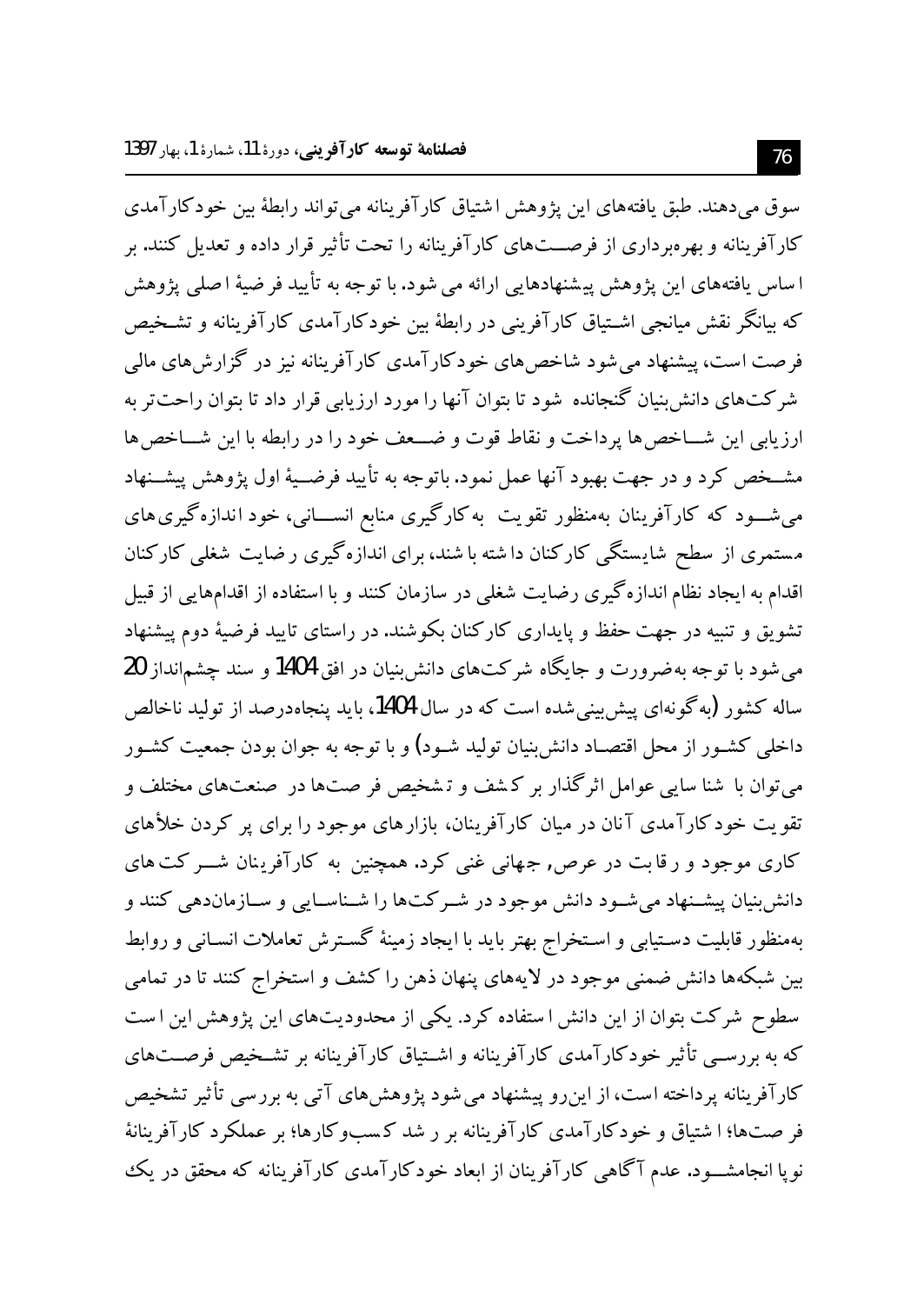سوق میدهند. طبق یافتههای این پژوهش اشتیاق کارآفرینانه می تواند رابطهٔ بین خودکار آمدی کارآفرینانه و بهرهبرداری از فرصــتهای کارآفرینانه را تحت تأثیر قرار داده و تعدیل کنند. بر ا ساس یافتههای این پژوهش پیشنهادهایی ارائه می شود. با توجه به تأیید فر ضیهٔ اصلی پژوهش که بیانگر نقش میانجی اشـتیاق کارآفرینی در رابطهٔ بین خودکارآمدی کارآفرینانه و تشـخیص فرصت است، پیشنهاد می شود شاخص های خودکارآمدی کارآفرینانه نیز در گزارش های مالی شرکتهای دانش بنیان گنجانده شود تا بتوان آنها را مورد ارزیابی قرار داد تا بتوان راحت تر به ارزيابي اين شــاخص ها يرداخت و نقاط قوت و ضـــعف خود را در رابطه با اين شـــاخص ها مشــخص کرد و در جهت بهبود آنها عمل نمود. باتوجه به تأیید فرضــیهٔ اول پژوهش پیشــنهاد می شـــود که کارآفرینان بهمنظور تقویت به کارگیری منابع انســـانی، خود اندازهگیری های مستمری از سطح شایستگی کارکنان داشته با شند، برای اندازهگیری رضایت شغلی کارکنان اقدام به ایجاد نظام اندازهگیری رضایت شغلبی در سازمان کنند و با استفاده از اقدامهایی از قبیل تشویق و تنبیه در جهت حفظ و پایداری کارکنان بکوشند. در راستای تایید فرضیهٔ دوم پیشنهاد می شود با توجه به ضرورت و جایگاه شرکتهای دانش بنیان در افق 1404 و سند چشمانداز 20 ساله کشور (به گونهای پیش بینی شده است که در سال 1404، باید پنجاهدرصد از تولید ناخالص داخلی کشـور از محل اقتصـاد دانش:پنیان تولید شـود) و با توجه به جوان بودن جمعیت کشـور می توان با شنا سایی عوامل اثر گذار بر کـشف و تـشخیص فر صت۱ها در صنعتهای مختلف و تقویت خود کارآمدی آنان در میان کارآفرینان، بازارهای موجود را برای پر کردن خلأهای کاری موجود و رقابت در عرص, جهانی غنی کرد. همچنین به کارآفرینان شـــر کت های دانش بنیان پیشـنهاد می شـود دانش موجود در شـر کت۱ها را شـناسـایی و سـازماندهی کنند و بهمنظور قابليت دسـتيابي و اسـتخراج بهتر بايد با ايجاد زمينهٔ گسـترش تعاملات انسـاني و روابط بین شبکهها دانش ضمنی موجود در لایههای پنهان ذهن را کشف و استخراج کنند تا در تمامی سطوح شرکت بتوان از این دانش ا ستفاده کرد. یکی از محدودیتهای این پژوهش این است که به بررســی تأثیر خودکارآمدی کارآفرینانه و اشــتیاق کارآفرینانه بر تشــخیص فرصــتهای کارآفرینانه پرداخته است، از این رو پیشنهاد می شود پژوهش های آتی به بررسی تأثیر تشخیص فر صتها؛ ا شتیاق و خودکارآمدی کارآفرینانه بر ر شد کسبوکارها؛ بر عملکرد کارآفرینانهٔ نویا انجامشـــود. عدم آگاهی کارآفرینان از ابعاد خودکارآمدی کارآفرینانه که محقق در یک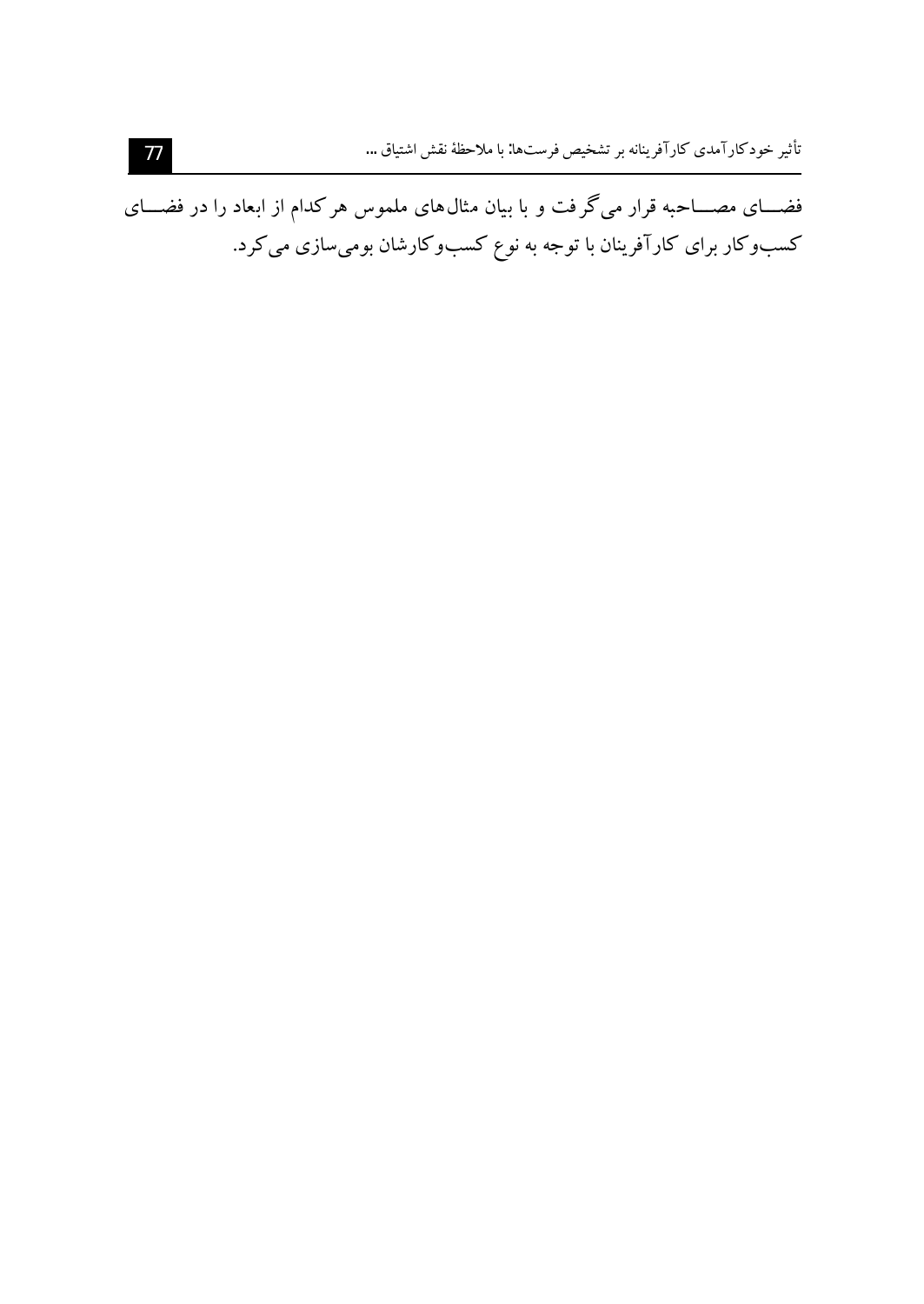فضـــای مصـــاحبه قرار میگرفت و با بیان مثال۵های ملموس هر کدام از ابعاد را در فضـــای کسبوکار برای کارآفرینان با توجه به نوع کسبوکارشان بومیسازی میکرد.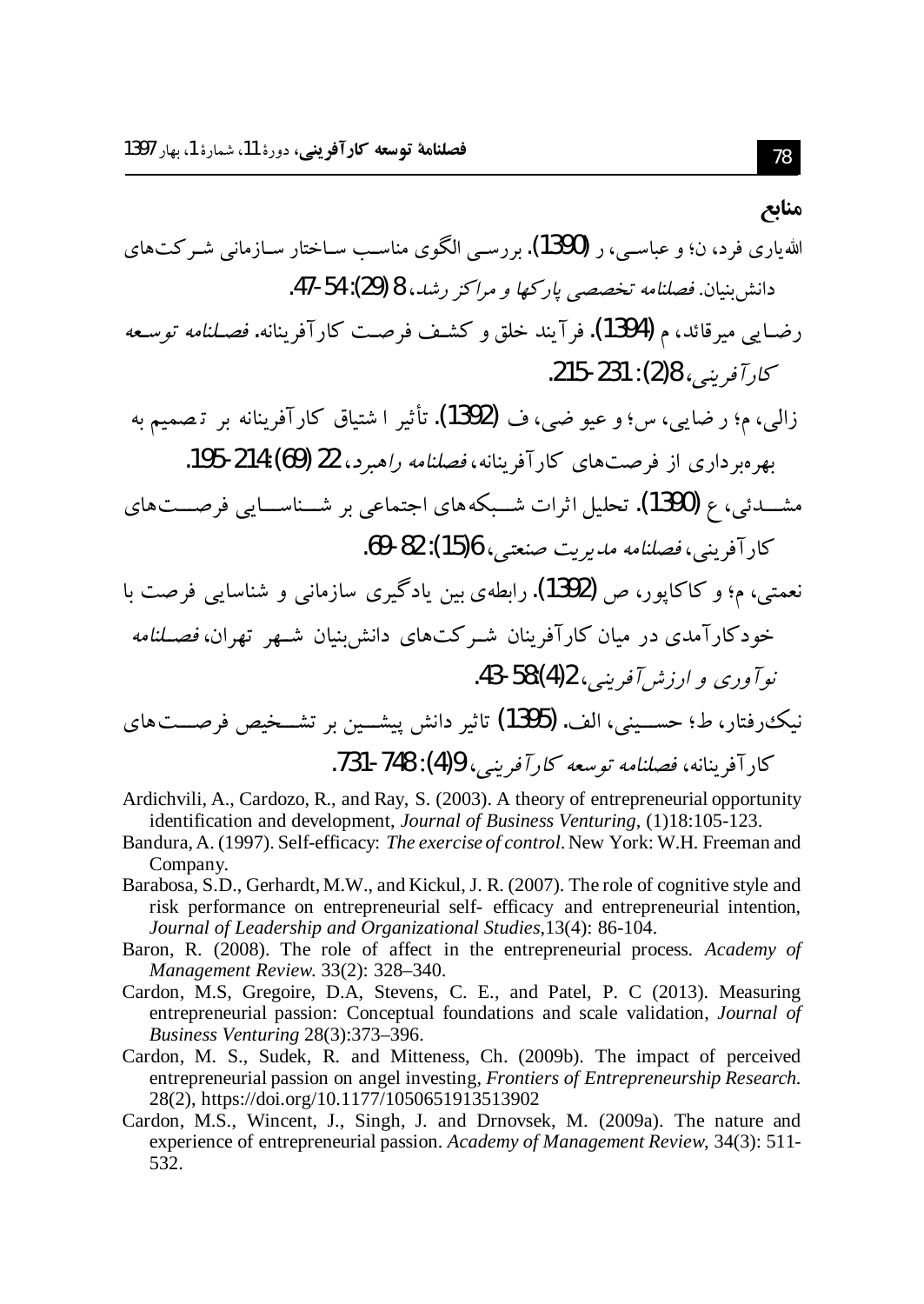#### منابع

مشـــدئی، ع (1390). تحلیل اثرات شـــبکههای اجتماعی بر شـــناســـایی فرصـــتهای كاد آفرېنې، فصلنامه مديريت صنعتي، 6(15): 82-69.

- نعمتی، م؛ و کاکایور، ص (1392). رابطهی بین یادگیری سازمانی و شناسایی فرصت با خودکارآمدی در میان کارآفرینان شـرکتهای دانش;نیان شـهر تهران، *فصـلنامه*  $143$ -58:(4) وري و ارزش آفريني، 2(4):58-43.
- نیک رفتار، ط؛ حســینی، الف. (1395) تاثیر دانش پیشــین بر تشــخیص فرصـــتهای كار آفرينانه، فصلنامه توسعه كار آفرينير، 4(4): 748-731.
- Ardichvili, A., Cardozo, R., and Ray, S. (2003). A theory of entrepreneurial opportunity identification and development, Journal of Business Venturing, (1)18:105-123.
- Bandura, A. (1997). Self-efficacy: The exercise of control. New York: W.H. Freeman and Company.
- Barabosa, S.D., Gerhardt, M.W., and Kickul, J. R. (2007). The role of cognitive style and risk performance on entrepreneurial self-efficacy and entrepreneurial intention, Journal of Leadership and Organizational Studies, 13(4): 86-104.
- Baron, R. (2008). The role of affect in the entrepreneurial process. Academy of Management Review. 33(2): 328-340.
- Cardon, M.S., Gregoire, D.A., Stevens, C. E., and Patel, P. C (2013). Measuring entrepreneurial passion: Conceptual foundations and scale validation, Journal of Business Venturing 28(3):373-396.
- Cardon, M. S., Sudek, R. and Mitteness, Ch. (2009b). The impact of perceived entrepreneurial passion on angel investing, Frontiers of Entrepreneurship Research. 28(2), https://doi.org/10.1177/1050651913513902
- Cardon, M.S., Wincent, J., Singh, J. and Drnovsek, M. (2009a). The nature and experience of entrepreneurial passion. Academy of Management Review, 34(3): 511-532.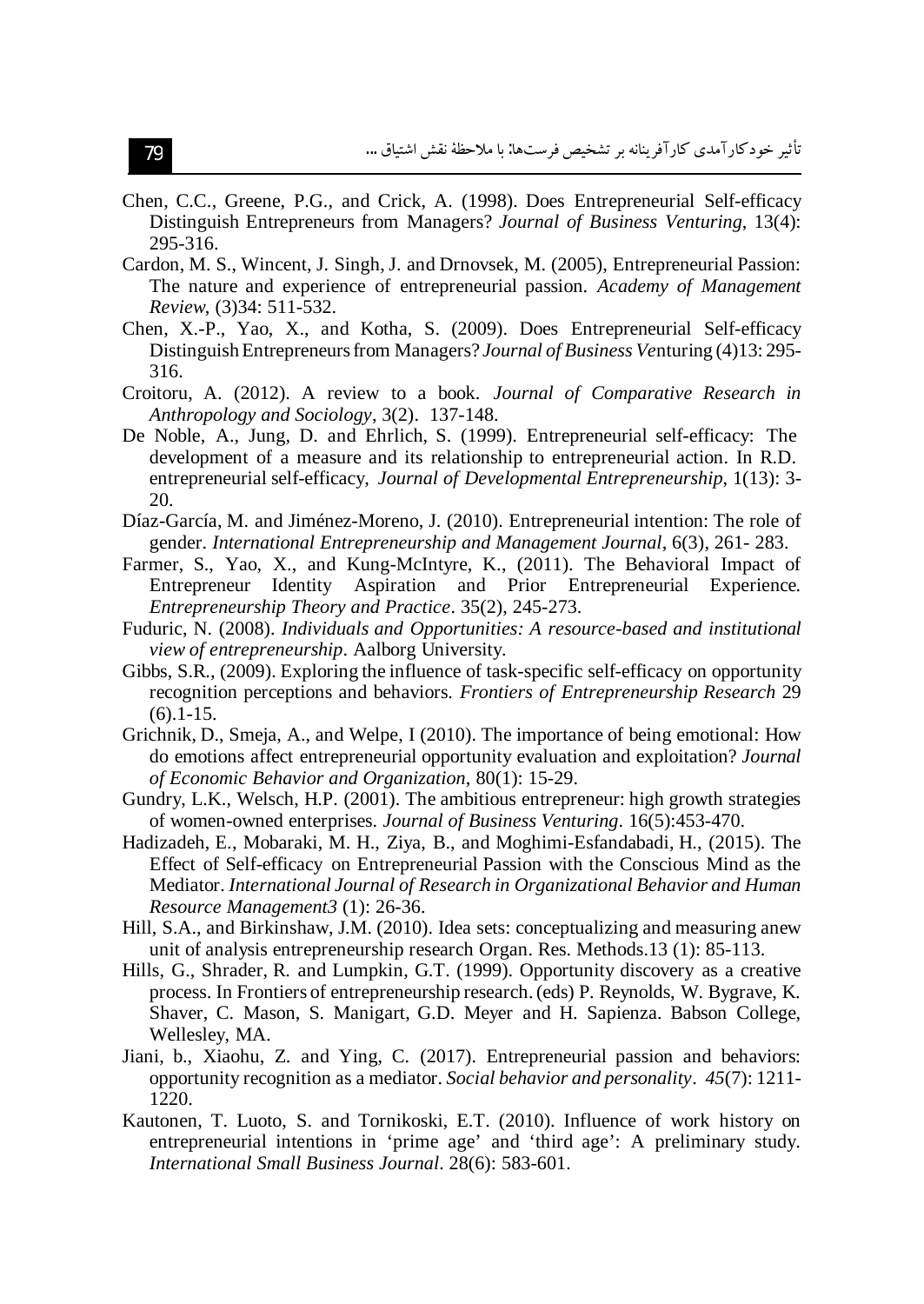- Chen, C.C., Greene, P.G., and Crick, A. (1998). Does Entrepreneurial Self-efficacy Distinguish Entrepreneurs from Managers? Journal of Business Venturing, 13(4): 295-316.
- Cardon, M. S., Wincent, J. Singh, J. and Drnovsek, M. (2005), Entrepreneurial Passion: The nature and experience of entrepreneurial passion. Academy of Management Review, (3)34: 511-532.
- Chen, X.-P., Yao, X., and Kotha, S. (2009). Does Entrepreneurial Self-efficacy Distinguish Entrepreneurs from Managers? Journal of Business Venturing (4)13:295-316.
- Croitoru, A. (2012). A review to a book. Journal of Comparative Research in Anthropology and Sociology, 3(2). 137-148.
- De Noble, A., Jung, D. and Ehrlich, S. (1999). Entrepreneurial self-efficacy: The development of a measure and its relationship to entrepreneurial action. In R.D. entrepreneurial self-efficacy, Journal of Developmental Entrepreneurship, 1(13): 3-20.
- Díaz-García, M. and Jiménez-Moreno, J. (2010). Entrepreneurial intention: The role of gender. International Entrepreneurship and Management Journal, 6(3), 261-283.
- Farmer, S., Yao, X., and Kung-McIntyre, K., (2011). The Behavioral Impact of Entrepreneur Identity Aspiration and Prior Entrepreneurial Experience. Entrepreneurship Theory and Practice. 35(2), 245-273.
- Fuduric, N. (2008). Individuals and Opportunities: A resource-based and institutional view of entrepreneurship. Aalborg University.
- Gibbs, S.R., (2009). Exploring the influence of task-specific self-efficacy on opportunity recognition perceptions and behaviors. Frontiers of Entrepreneurship Research 29  $(6)$ . 1 - 15.
- Grichnik, D., Smeja, A., and Welpe, I (2010). The importance of being emotional: How do emotions affect entrepreneurial opportunity evaluation and exploitation? Journal of Economic Behavior and Organization, 80(1): 15-29.
- Gundry, L.K., Welsch, H.P. (2001). The ambitious entrepreneur: high growth strategies of women-owned enterprises. Journal of Business Venturing. 16(5):453-470.
- Hadizadeh, E., Mobaraki, M. H., Ziya, B., and Moghimi-Esfandabadi, H., (2015). The Effect of Self-efficacy on Entrepreneurial Passion with the Conscious Mind as the Mediator. International Journal of Research in Organizational Behavior and Human Resource Management3 (1): 26-36.
- Hill, S.A., and Birkinshaw, J.M. (2010). Idea sets: conceptualizing and measuring anew unit of analysis entrepreneurship research Organ. Res. Methods.13 (1): 85-113.
- Hills, G., Shrader, R. and Lumpkin, G.T. (1999). Opportunity discovery as a creative process. In Frontiers of entrepreneurship research. (eds) P. Reynolds, W. Bygrave, K. Shaver, C. Mason, S. Manigart, G.D. Meyer and H. Sapienza. Babson College, Wellesley, MA.
- Jiani, b., Xiaohu, Z. and Ying, C. (2017). Entrepreneurial passion and behaviors: opportunity recognition as a mediator. Social behavior and personality. 45(7): 1211-1220.
- Kautonen, T. Luoto, S. and Tornikoski, E.T. (2010). Influence of work history on entrepreneurial intentions in 'prime age' and 'third age': A preliminary study. International Small Business Journal. 28(6): 583-601.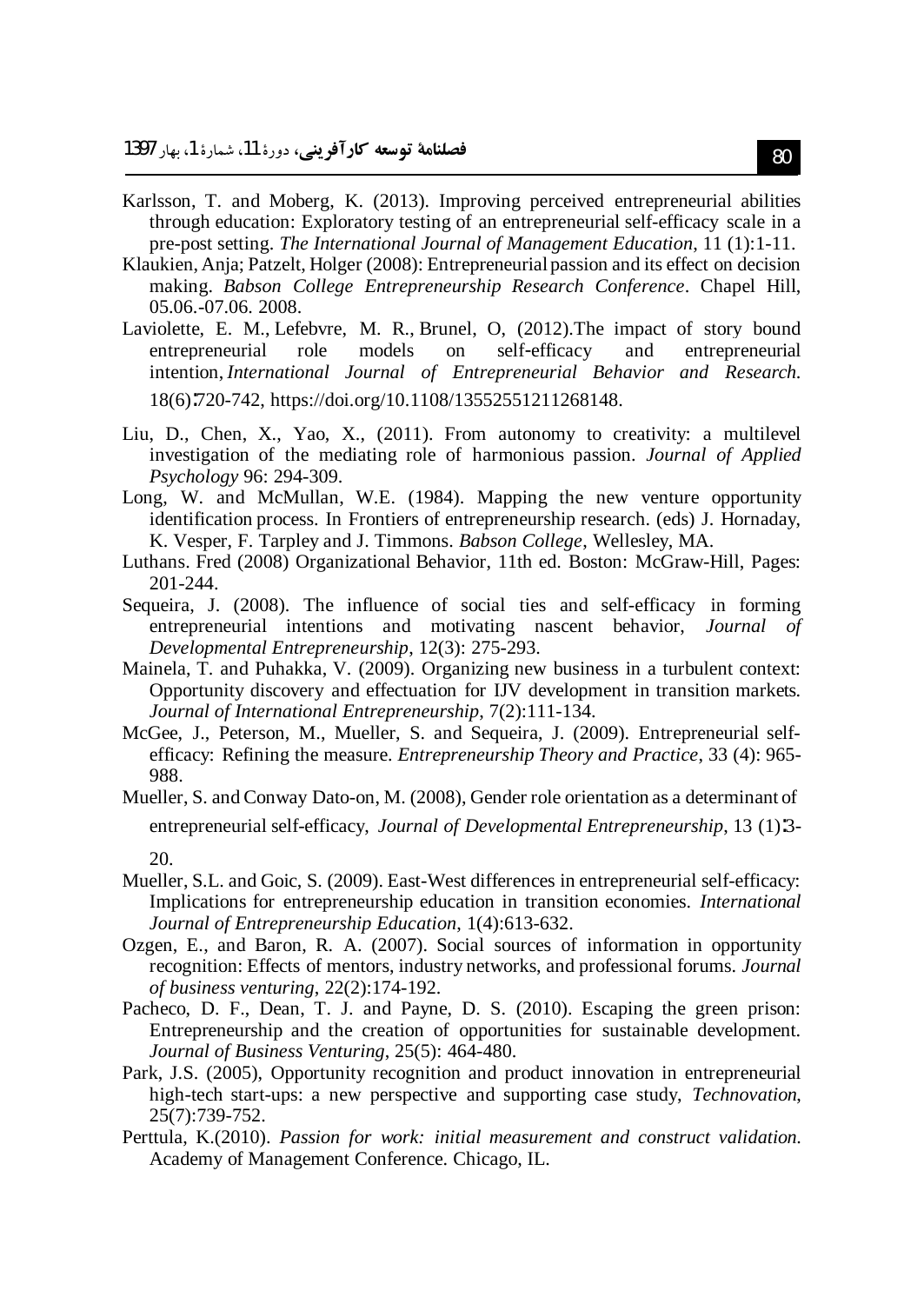- Karlsson, T. and Moberg, K. (2013). Improving perceived entrepreneurial abilities through education: Exploratory testing of an entrepreneurial self-efficacy scale in a pre-post setting. The International Journal of Management Education,  $11$  (1):1-11.
- Klaukien, Anja; Patzelt, Holger (2008): Entrepreneurial passion and its effect on decision making. Babson College Entrepreneurship Research Conference. Chapel Hill, 05.06.-07.06. 2008.
- Laviolette, E. M., Lefebyre, M. R., Brunel, O. (2012). The impact of story bound entrepreneurial role models <sub>on</sub> self-efficacy and entrepreneurial intention, International Journal of Entrepreneurial Behavior and Research. 18(6):720-742, https://doi.org/10.1108/13552551211268148.
- Liu, D., Chen, X., Yao, X., (2011). From autonomy to creativity: a multilevel investigation of the mediating role of harmonious passion. Journal of Applied Psychology 96: 294-309.
- Long, W. and McMullan, W.E. (1984). Mapping the new venture opportunity identification process. In Frontiers of entrepreneurship research. (eds) J. Hornaday, K. Vesper, F. Tarpley and J. Timmons. Babson College, Wellesley, MA.
- Luthans. Fred (2008) Organizational Behavior, 11th ed. Boston: McGraw-Hill, Pages: 201-244.
- Sequeira, J. (2008). The influence of social ties and self-efficacy in forming entrepreneurial intentions and motivating nascent behavior, Journal of Developmental Entrepreneurship, 12(3): 275-293.
- Mainela, T. and Puhakka, V. (2009). Organizing new business in a turbulent context: Opportunity discovery and effectuation for IJV development in transition markets. Journal of International Entrepreneurship, 7(2):111-134.
- McGee, J., Peterson, M., Mueller, S. and Sequeira, J. (2009). Entrepreneurial selfefficacy: Refining the measure. *Entrepreneurship Theory and Practice*, 33 (4): 965-988.
- Mueller, S. and Conway Dato-on, M. (2008), Gender role orientation as a determinant of entrepreneurial self-efficacy, Journal of Developmental Entrepreneurship, 13 (1):3-20.
- Mueller, S.L. and Goic, S. (2009). East-West differences in entrepreneurial self-efficacy: Implications for entrepreneurship education in transition economies. International Journal of Entrepreneurship Education, 1(4):613-632.
- Ozgen, E., and Baron, R. A. (2007). Social sources of information in opportunity recognition: Effects of mentors, industry networks, and professional forums. Journal of business venturing, 22(2):174-192.
- Pacheco, D. F., Dean, T. J. and Payne, D. S. (2010). Escaping the green prison: Entrepreneurship and the creation of opportunities for sustainable development. Journal of Business Venturing, 25(5): 464-480.
- Park, J.S. (2005), Opportunity recognition and product innovation in entrepreneurial high-tech start-ups: a new perspective and supporting case study, Technovation, 25(7):739-752.
- Perttula, K.(2010). Passion for work: initial measurement and construct validation. Academy of Management Conference. Chicago, IL.